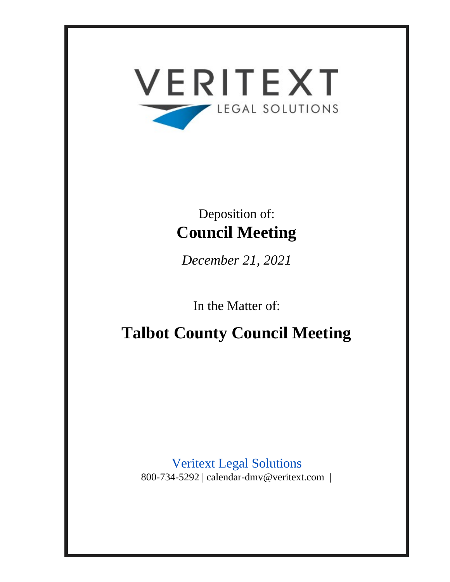

# Deposition of: **Council Meeting**

*December 21, 2021*

In the Matter of:

**Talbot County Council Meeting**

Veritext Legal Solutions 800-734-5292 | calendar-dmv@veritext.com |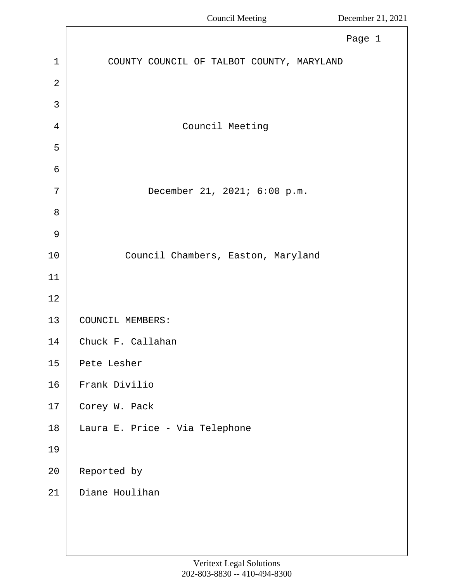<span id="page-1-0"></span>

|                | Page 1                                    |
|----------------|-------------------------------------------|
| $\mathbf{1}$   | COUNTY COUNCIL OF TALBOT COUNTY, MARYLAND |
| $\overline{2}$ |                                           |
| 3              |                                           |
| $\overline{4}$ | Council Meeting                           |
| 5              |                                           |
| 6              |                                           |
| 7              | December 21, 2021; 6:00 p.m.              |
| 8              |                                           |
| 9              |                                           |
| $10$           | Council Chambers, Easton, Maryland        |
| 11             |                                           |
| $1\,2$         |                                           |
| 13             | COUNCIL MEMBERS:                          |
| 14             | Chuck F. Callahan                         |
| 15             | Pete Lesher                               |
| 16             | Frank Divilio                             |
| 17             | Corey W. Pack                             |
| 18             | Laura E. Price - Via Telephone            |
| 19             |                                           |
| 20             | Reported by                               |
| 21             | Diane Houlihan                            |
|                |                                           |
|                |                                           |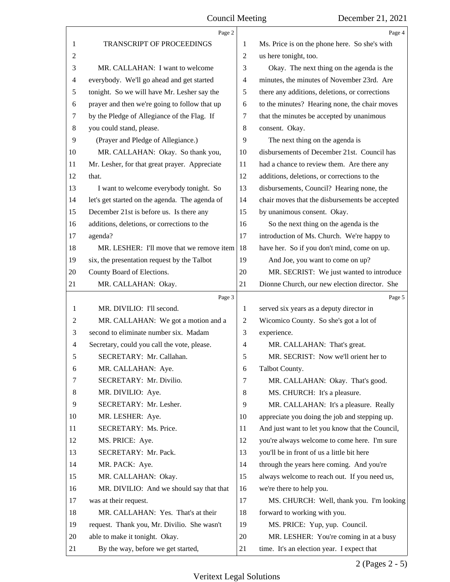<span id="page-2-0"></span>

|                | Page 2                                         |                | Page 4                                          |
|----------------|------------------------------------------------|----------------|-------------------------------------------------|
| 1              | TRANSCRIPT OF PROCEEDINGS                      | 1              | Ms. Price is on the phone here. So she's with   |
| 2              |                                                | 2              | us here tonight, too.                           |
| 3              | MR. CALLAHAN: I want to welcome                | 3              | Okay. The next thing on the agenda is the       |
| 4              | everybody. We'll go ahead and get started      | 4              | minutes, the minutes of November 23rd. Are      |
| 5              | tonight. So we will have Mr. Lesher say the    | 5              | there any additions, deletions, or corrections  |
| 6              | prayer and then we're going to follow that up  | 6              | to the minutes? Hearing none, the chair moves   |
| 7              | by the Pledge of Allegiance of the Flag. If    | 7              | that the minutes be accepted by unanimous       |
| $\,8$          | you could stand, please.                       | 8              | consent. Okay.                                  |
| 9              | (Prayer and Pledge of Allegiance.)             | 9              | The next thing on the agenda is                 |
| 10             | MR. CALLAHAN: Okay. So thank you,              | 10             | disbursements of December 21st. Council has     |
| 11             | Mr. Lesher, for that great prayer. Appreciate  | 11             | had a chance to review them. Are there any      |
| 12             | that.                                          | 12             | additions, deletions, or corrections to the     |
| 13             | I want to welcome everybody tonight. So        | 13             | disbursements, Council? Hearing none, the       |
| 14             | let's get started on the agenda. The agenda of | 14             | chair moves that the disbursements be accepted  |
| 15             | December 21st is before us. Is there any       | 15             | by unanimous consent. Okay.                     |
| 16             | additions, deletions, or corrections to the    | 16             | So the next thing on the agenda is the          |
| 17             | agenda?                                        | 17             | introduction of Ms. Church. We're happy to      |
| 18             | MR. LESHER: I'll move that we remove item      | 18             | have her. So if you don't mind, come on up.     |
| 19             | six, the presentation request by the Talbot    | 19             | And Joe, you want to come on up?                |
| 20             | County Board of Elections.                     | 20             | MR. SECRIST: We just wanted to introduce        |
| 21             | MR. CALLAHAN: Okay.                            | 21             | Dionne Church, our new election director. She   |
|                | Page 3                                         |                | Page 5                                          |
| $\mathbf{1}$   | MR. DIVILIO: I'll second.                      | 1              | served six years as a deputy director in        |
| $\overline{c}$ | MR. CALLAHAN: We got a motion and a            | $\overline{2}$ | Wicomico County. So she's got a lot of          |
| 3              | second to eliminate number six. Madam          | 3              | experience.                                     |
| $\overline{4}$ | Secretary, could you call the vote, please.    | 4              | MR. CALLAHAN: That's great.                     |
| 5              | SECRETARY: Mr. Callahan.                       | 5              | MR. SECRIST: Now we'll orient her to            |
| 6              | MR. CALLAHAN: Aye.                             | 6              | Talbot County.                                  |
| 7              | SECRETARY: Mr. Divilio.                        | 7              | MR. CALLAHAN: Okay. That's good.                |
| 8              | MR. DIVILIO: Aye.                              | 8              | MS. CHURCH: It's a pleasure.                    |
| 9              | SECRETARY: Mr. Lesher.                         | 9              | MR. CALLAHAN: It's a pleasure. Really           |
| 10             |                                                |                |                                                 |
| 11             | MR. LESHER: Aye.                               | 10             | appreciate you doing the job and stepping up.   |
| 12             | SECRETARY: Ms. Price.                          | 11             | And just want to let you know that the Council, |
|                | MS. PRICE: Aye.                                | 12             | you're always welcome to come here. I'm sure    |
| 13             | SECRETARY: Mr. Pack.                           | 13             | you'll be in front of us a little bit here      |
| 14             | MR. PACK: Aye.                                 | 14             | through the years here coming. And you're       |
| 15             | MR. CALLAHAN: Okay.                            | 15             | always welcome to reach out. If you need us,    |
| 16             | MR. DIVILIO: And we should say that that       | 16             | we're there to help you.                        |
| 17             | was at their request.                          | 17             | MS. CHURCH: Well, thank you. I'm looking        |
| 18             | MR. CALLAHAN: Yes. That's at their             | 18             | forward to working with you.                    |
| 19             | request. Thank you, Mr. Divilio. She wasn't    | 19             | MS. PRICE: Yup, yup. Council.                   |
| 20             | able to make it tonight. Okay.                 | 20             | MR. LESHER: You're coming in at a busy          |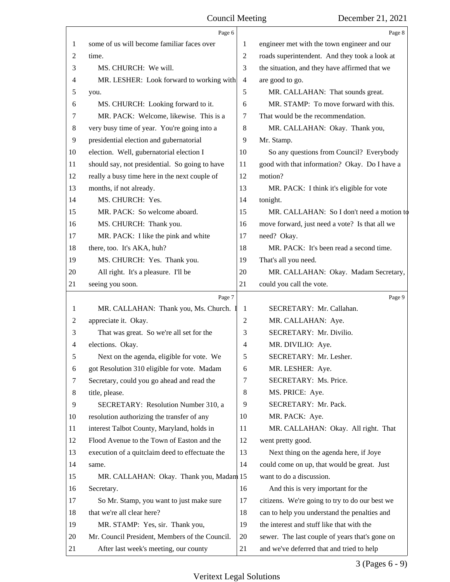<span id="page-3-0"></span>

|                | Page 6                                          |                | Page 8                                         |
|----------------|-------------------------------------------------|----------------|------------------------------------------------|
| 1              | some of us will become familiar faces over      | 1              | engineer met with the town engineer and our    |
| $\overline{c}$ | time.                                           | $\overline{2}$ | roads superintendent. And they took a look at  |
| 3              | MS. CHURCH: We will.                            | 3              | the situation, and they have affirmed that we  |
| 4              | MR. LESHER: Look forward to working with        | $\overline{4}$ | are good to go.                                |
| 5              | you.                                            | 5              | MR. CALLAHAN: That sounds great.               |
| 6              | MS. CHURCH: Looking forward to it.              | 6              | MR. STAMP: To move forward with this.          |
| 7              | MR. PACK: Welcome, likewise. This is a          | 7              | That would be the recommendation.              |
| 8              | very busy time of year. You're going into a     | 8              | MR. CALLAHAN: Okay. Thank you,                 |
| 9              | presidential election and gubernatorial         | 9              | Mr. Stamp.                                     |
| 10             | election. Well, gubernatorial election I        | 10             | So any questions from Council? Everybody       |
| 11             | should say, not presidential. So going to have  | 11             | good with that information? Okay. Do I have a  |
| 12             | really a busy time here in the next couple of   | 12             | motion?                                        |
| 13             | months, if not already.                         | 13             | MR. PACK: I think it's eligible for vote       |
| 14             | MS. CHURCH: Yes.                                | 14             | tonight.                                       |
| 15             | MR. PACK: So welcome aboard.                    | 15             | MR. CALLAHAN: So I don't need a motion to      |
| 16             | MS. CHURCH: Thank you.                          | 16             | move forward, just need a vote? Is that all we |
| 17             | MR. PACK: I like the pink and white             | 17             | need? Okay.                                    |
| 18             | there, too. It's AKA, huh?                      | 18             | MR. PACK: It's been read a second time.        |
| 19             | MS. CHURCH: Yes. Thank you.                     | 19             | That's all you need.                           |
| 20             | All right. It's a pleasure. I'll be             | 20             | MR. CALLAHAN: Okay. Madam Secretary,           |
| 21             | seeing you soon.                                | 21             | could you call the vote.                       |
|                | Page 7                                          |                | Page 9                                         |
| 1              | MR. CALLAHAN: Thank you, Ms. Church. I          | 1              | SECRETARY: Mr. Callahan.                       |
| 2              | appreciate it. Okay.                            | $\mathbf{2}$   | MR. CALLAHAN: Aye.                             |
| 3              | That was great. So we're all set for the        | 3              | SECRETARY: Mr. Divilio.                        |
| 4              | elections. Okay.                                | 4              | MR. DIVILIO: Aye.                              |
| 5              | Next on the agenda, eligible for vote. We       | 5              | SECRETARY: Mr. Lesher.                         |
| 6              | got Resolution 310 eligible for vote. Madam     | 6              | MR. LESHER: Aye.                               |
| 7              | Secretary, could you go ahead and read the      | 7              | SECRETARY: Ms. Price.                          |
| 8              | title, please.                                  | 8              | MS. PRICE: Aye.                                |
| 9              | SECRETARY: Resolution Number 310, a             | 9              | SECRETARY: Mr. Pack.                           |
| 10             | resolution authorizing the transfer of any      | 10             | MR. PACK: Aye.                                 |
| 11             | interest Talbot County, Maryland, holds in      | 11             | MR. CALLAHAN: Okay. All right. That            |
| 12             | Flood Avenue to the Town of Easton and the      | 12             | went pretty good.                              |
| 13             | execution of a quitclaim deed to effectuate the | 13             | Next thing on the agenda here, if Joye         |
| 14             | same.                                           | 14             | could come on up, that would be great. Just    |
| 15             | MR. CALLAHAN: Okay. Thank you, Madam 15         |                | want to do a discussion.                       |
| 16             | Secretary.                                      | 16             | And this is very important for the             |
| 17             | So Mr. Stamp, you want to just make sure        | 17             | citizens. We're going to try to do our best we |
| 18             | that we're all clear here?                      | 18             | can to help you understand the penalties and   |
| 19             | MR. STAMP: Yes, sir. Thank you,                 | 19             | the interest and stuff like that with the      |
| 20             | Mr. Council President, Members of the Council.  | 20             | sewer. The last couple of years that's gone on |
| 21             | After last week's meeting, our county           | 21             | and we've deferred that and tried to help      |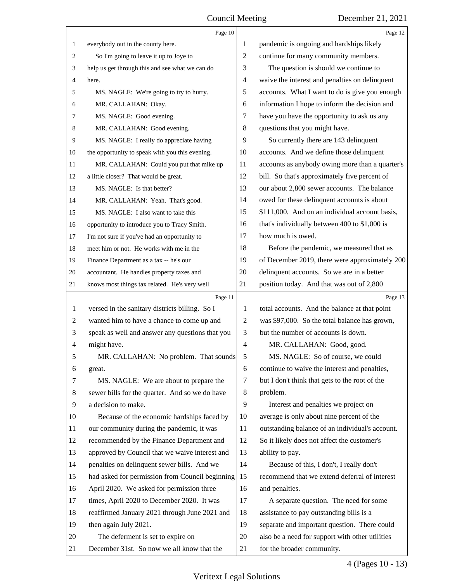<span id="page-4-0"></span>

|              | Page 10                                         |    | Page 12                                         |
|--------------|-------------------------------------------------|----|-------------------------------------------------|
| 1            | everybody out in the county here.               | 1  | pandemic is ongoing and hardships likely        |
| 2            | So I'm going to leave it up to Joye to          | 2  | continue for many community members.            |
| 3            | help us get through this and see what we can do | 3  | The question is should we continue to           |
| 4            | here.                                           | 4  | waive the interest and penalties on delinquent  |
| 5            | MS. NAGLE: We're going to try to hurry.         | 5  | accounts. What I want to do is give you enough  |
| 6            | MR. CALLAHAN: Okay.                             | 6  | information I hope to inform the decision and   |
| 7            | MS. NAGLE: Good evening.                        | 7  | have you have the opportunity to ask us any     |
| 8            | MR. CALLAHAN: Good evening.                     | 8  | questions that you might have.                  |
| 9            | MS. NAGLE: I really do appreciate having        | 9  | So currently there are 143 delinquent           |
| 10           | the opportunity to speak with you this evening. | 10 | accounts. And we define those delinquent        |
| 11           | MR. CALLAHAN: Could you put that mike up        | 11 | accounts as anybody owing more than a quarter's |
| 12           | a little closer? That would be great.           | 12 | bill. So that's approximately five percent of   |
| 13           | MS. NAGLE: Is that better?                      | 13 | our about 2,800 sewer accounts. The balance     |
| 14           | MR. CALLAHAN: Yeah. That's good.                | 14 | owed for these delinquent accounts is about     |
| 15           | MS. NAGLE: I also want to take this             | 15 | \$111,000. And on an individual account basis,  |
| 16           | opportunity to introduce you to Tracy Smith.    | 16 | that's individually between 400 to \$1,000 is   |
| 17           | I'm not sure if you've had an opportunity to    | 17 | how much is owed.                               |
| 18           | meet him or not. He works with me in the        | 18 | Before the pandemic, we measured that as        |
| 19           | Finance Department as a tax -- he's our         | 19 | of December 2019, there were approximately 200  |
| 20           | accountant. He handles property taxes and       | 20 | delinquent accounts. So we are in a better      |
| 21           | knows most things tax related. He's very well   | 21 | position today. And that was out of 2,800       |
|              | Page 11                                         |    | Page 13                                         |
| $\mathbf{1}$ | versed in the sanitary districts billing. So I  | 1  | total accounts. And the balance at that point   |
| 2            | wanted him to have a chance to come up and      | 2  | was \$97,000. So the total balance has grown,   |
| 3            | speak as well and answer any questions that you | 3  | but the number of accounts is down.             |
| 4            | might have.                                     | 4  | MR. CALLAHAN: Good, good.                       |
| 5            | MR. CALLAHAN: No problem. That sounds           |    | MS. NAGLE: So of course, we could               |
| 6            | great.                                          | 6  | continue to waive the interest and penalties,   |
| 7            | MS. NAGLE: We are about to prepare the          | 7  | but I don't think that gets to the root of the  |
| 8            | sewer bills for the quarter. And so we do have  | 8  | problem.                                        |
| 9            | a decision to make.                             | 9  | Interest and penalties we project on            |
| 10           | Because of the economic hardships faced by      | 10 | average is only about nine percent of the       |
| 11           | our community during the pandemic, it was       | 11 | outstanding balance of an individual's account. |
| 12           | recommended by the Finance Department and       | 12 | So it likely does not affect the customer's     |
| 13           | approved by Council that we waive interest and  | 13 | ability to pay.                                 |
| 14           | penalties on delinquent sewer bills. And we     | 14 | Because of this, I don't, I really don't        |
| 15           | had asked for permission from Council beginning | 15 | recommend that we extend deferral of interest   |
| 16           | April 2020. We asked for permission three       | 16 | and penalties.                                  |
| 17           | times, April 2020 to December 2020. It was      | 17 | A separate question. The need for some          |
| 18           | reaffirmed January 2021 through June 2021 and   | 18 | assistance to pay outstanding bills is a        |
| 19           | then again July 2021.                           | 19 | separate and important question. There could    |
| 20           |                                                 |    |                                                 |
|              | The deferment is set to expire on               | 20 | also be a need for support with other utilities |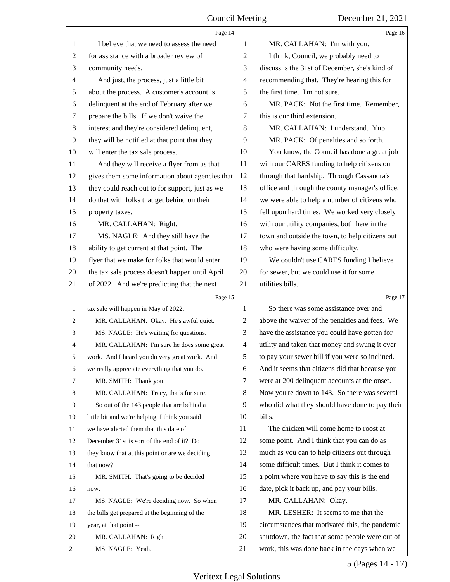<span id="page-5-0"></span>

|       | Page 14                                         |                | Page 16                                                                                         |
|-------|-------------------------------------------------|----------------|-------------------------------------------------------------------------------------------------|
| 1     | I believe that we need to assess the need       | 1              | MR. CALLAHAN: I'm with you.                                                                     |
| 2     | for assistance with a broader review of         | 2              | I think, Council, we probably need to                                                           |
| 3     | community needs.                                | 3              | discuss is the 31st of December, she's kind of                                                  |
| 4     | And just, the process, just a little bit        | 4              | recommending that. They're hearing this for                                                     |
| 5     | about the process. A customer's account is      | 5              | the first time. I'm not sure.                                                                   |
| 6     | delinquent at the end of February after we      | 6              | MR. PACK: Not the first time. Remember,                                                         |
| 7     | prepare the bills. If we don't waive the        | 7              | this is our third extension.                                                                    |
| $\,8$ | interest and they're considered delinquent,     | 8              | MR. CALLAHAN: I understand. Yup.                                                                |
| 9     | they will be notified at that point that they   | 9              | MR. PACK: Of penalties and so forth.                                                            |
| 10    | will enter the tax sale process.                | 10             | You know, the Council has done a great job                                                      |
| 11    | And they will receive a flyer from us that      | 11             | with our CARES funding to help citizens out                                                     |
| 12    | gives them some information about agencies that | 12             | through that hardship. Through Cassandra's                                                      |
| 13    | they could reach out to for support, just as we | 13             | office and through the county manager's office,                                                 |
| 14    | do that with folks that get behind on their     | 14             | we were able to help a number of citizens who                                                   |
| 15    | property taxes.                                 | 15             | fell upon hard times. We worked very closely                                                    |
| 16    | MR. CALLAHAN: Right.                            | 16             | with our utility companies, both here in the                                                    |
| 17    | MS. NAGLE: And they still have the              | 17             | town and outside the town, to help citizens out                                                 |
| 18    | ability to get current at that point. The       | 18             | who were having some difficulty.                                                                |
| 19    | flyer that we make for folks that would enter   | 19             | We couldn't use CARES funding I believe                                                         |
| 20    | the tax sale process doesn't happen until April | 20             | for sewer, but we could use it for some                                                         |
| 21    | of 2022. And we're predicting that the next     | 21             | utilities bills.                                                                                |
|       | Page 15                                         |                | Page 17                                                                                         |
| 1     | tax sale will happen in May of 2022.            | 1              | So there was some assistance over and                                                           |
| 2     | MR. CALLAHAN: Okay. He's awful quiet.           | $\overline{c}$ | above the waiver of the penalties and fees. We                                                  |
| 3     | MS. NAGLE: He's waiting for questions.          | 3              | have the assistance you could have gotten for                                                   |
| 4     | MR. CALLAHAN: I'm sure he does some great       | $\overline{4}$ |                                                                                                 |
|       |                                                 |                | utility and taken that money and swung it over                                                  |
| 5     | work. And I heard you do very great work. And   | 5              | to pay your sewer bill if you were so inclined.                                                 |
| 6     | we really appreciate everything that you do.    | 6              | And it seems that citizens did that because you                                                 |
| 7     | MR. SMITH: Thank you.                           | 7              | were at 200 delinquent accounts at the onset.                                                   |
| 8     | MR. CALLAHAN: Tracy, that's for sure.           | 8              | Now you're down to 143. So there was several                                                    |
| 9     | So out of the 143 people that are behind a      | 9              | who did what they should have done to pay their                                                 |
| 10    | little bit and we're helping, I think you said  | 10             | bills.                                                                                          |
| 11    | we have alerted them that this date of          | 11             | The chicken will come home to roost at                                                          |
| 12    | December 31st is sort of the end of it? Do      | 12             | some point. And I think that you can do as                                                      |
| 13    | they know that at this point or are we deciding | 13             | much as you can to help citizens out through                                                    |
| 14    | that now?                                       | 14             | some difficult times. But I think it comes to                                                   |
| 15    | MR. SMITH: That's going to be decided           | 15             | a point where you have to say this is the end                                                   |
| 16    | now.                                            | 16             | date, pick it back up, and pay your bills.                                                      |
| 17    | MS. NAGLE: We're deciding now. So when          | 17             | MR. CALLAHAN: Okay.                                                                             |
| 18    | the bills get prepared at the beginning of the  | 18             | MR. LESHER: It seems to me that the                                                             |
| 19    | year, at that point --                          | 19             | circumstances that motivated this, the pandemic                                                 |
| 20    | MR. CALLAHAN: Right.                            | 20<br>21       | shutdown, the fact that some people were out of<br>work, this was done back in the days when we |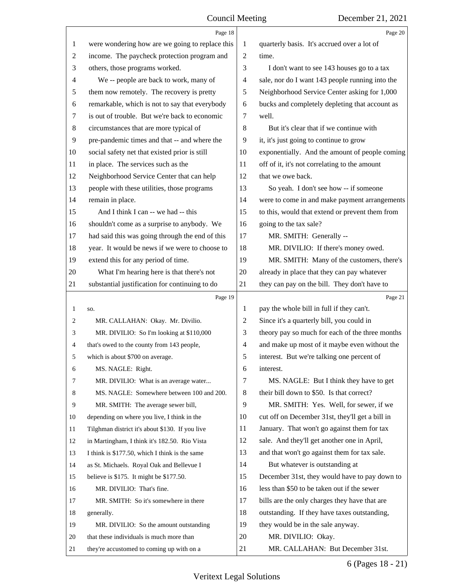<span id="page-6-0"></span>

|                | Page 18                                         |                | Page 20                                         |
|----------------|-------------------------------------------------|----------------|-------------------------------------------------|
| 1              | were wondering how are we going to replace this | 1              | quarterly basis. It's accrued over a lot of     |
| $\overline{c}$ | income. The paycheck protection program and     | 2              | time.                                           |
| 3              | others, those programs worked.                  | 3              | I don't want to see 143 houses go to a tax      |
| 4              | We -- people are back to work, many of          | 4              | sale, nor do I want 143 people running into the |
| 5              | them now remotely. The recovery is pretty       | 5              | Neighborhood Service Center asking for 1,000    |
| 6              | remarkable, which is not to say that everybody  | 6              | bucks and completely depleting that account as  |
| 7              | is out of trouble. But we're back to economic   | 7              | well.                                           |
| 8              | circumstances that are more typical of          | 8              | But it's clear that if we continue with         |
| 9              | pre-pandemic times and that -- and where the    | 9              | it, it's just going to continue to grow         |
| 10             | social safety net that existed prior is still   | 10             | exponentially. And the amount of people coming  |
| 11             | in place. The services such as the              | 11             | off of it, it's not correlating to the amount   |
| 12             | Neighborhood Service Center that can help       | 12             | that we owe back.                               |
| 13             | people with these utilities, those programs     | 13             | So yeah. I don't see how -- if someone          |
| 14             | remain in place.                                | 14             | were to come in and make payment arrangements   |
| 15             | And I think I can -- we had -- this             | 15             | to this, would that extend or prevent them from |
| 16             | shouldn't come as a surprise to anybody. We     | 16             | going to the tax sale?                          |
| 17             | had said this was going through the end of this | 17             | MR. SMITH: Generally --                         |
| 18             | year. It would be news if we were to choose to  | 18             | MR. DIVILIO: If there's money owed.             |
| 19             | extend this for any period of time.             | 19             | MR. SMITH: Many of the customers, there's       |
| 20             | What I'm hearing here is that there's not       | 20             | already in place that they can pay whatever     |
| 21             | substantial justification for continuing to do  | 21             | they can pay on the bill. They don't have to    |
|                |                                                 |                |                                                 |
|                | Page 19                                         |                | Page 21                                         |
| 1              | SO.                                             | 1              | pay the whole bill in full if they can't.       |
| 2              | MR. CALLAHAN: Okay. Mr. Divilio.                | 2              | Since it's a quarterly bill, you could in       |
| 3              | MR. DIVILIO: So I'm looking at \$110,000        | 3              | theory pay so much for each of the three months |
| 4              | that's owed to the county from 143 people,      | $\overline{4}$ | and make up most of it maybe even without the   |
|                | which is about \$700 on average.                | 5              | interest. But we're talking one percent of      |
| 6              | MS. NAGLE: Right.                               | 6              | interest.                                       |
| 7              | MR. DIVILIO: What is an average water           | 7              | MS. NAGLE: But I think they have to get         |
| 8              | MS. NAGLE: Somewhere between 100 and 200.       | 8              | their bill down to \$50. Is that correct?       |
| 9              | MR. SMITH: The average sewer bill,              | 9              | MR. SMITH: Yes. Well, for sewer, if we          |
| 10             | depending on where you live, I think in the     | 10             | cut off on December 31st, they'll get a bill in |
| 11             | Tilghman district it's about \$130. If you live | 11             | January. That won't go against them for tax     |
| 12             | in Martingham, I think it's 182.50. Rio Vista   | 12             | sale. And they'll get another one in April,     |
| 13             | I think is \$177.50, which I think is the same  | 13             | and that won't go against them for tax sale.    |
| 14             | as St. Michaels. Royal Oak and Bellevue I       | 14             | But whatever is outstanding at                  |
| 15             | believe is \$175. It might be \$177.50.         | 15             | December 31st, they would have to pay down to   |
| 16             | MR. DIVILIO: That's fine.                       | 16             | less than \$50 to be taken out if the sewer     |
| 17             | MR. SMITH: So it's somewhere in there           | 17             | bills are the only charges they have that are   |
| 18             | generally.                                      | 18             | outstanding. If they have taxes outstanding,    |
| 19             | MR. DIVILIO: So the amount outstanding          | 19             | they would be in the sale anyway.               |
| 20             | that these individuals is much more than        | 20             | MR. DIVILIO: Okay.                              |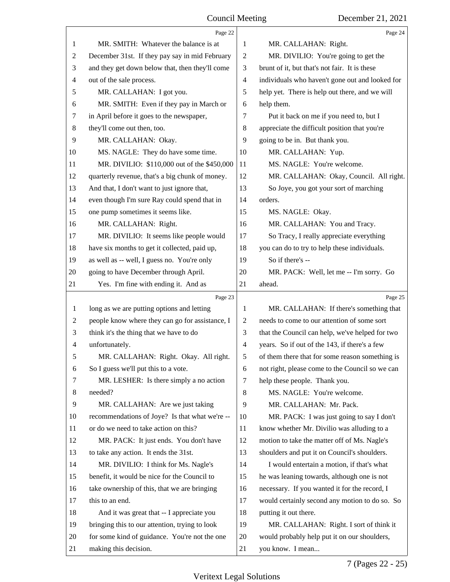<span id="page-7-0"></span>

|    | Page 22                                         |                | Page 24                                         |
|----|-------------------------------------------------|----------------|-------------------------------------------------|
| 1  | MR. SMITH: Whatever the balance is at           | 1              | MR. CALLAHAN: Right.                            |
| 2  | December 31st. If they pay say in mid February  | $\overline{2}$ | MR. DIVILIO: You're going to get the            |
| 3  | and they get down below that, then they'll come | 3              | brunt of it, but that's not fair. It is these   |
| 4  | out of the sale process.                        | 4              | individuals who haven't gone out and looked for |
| 5  | MR. CALLAHAN: I got you.                        | 5              | help yet. There is help out there, and we will  |
| 6  | MR. SMITH: Even if they pay in March or         | 6              | help them.                                      |
| 7  | in April before it goes to the newspaper,       | 7              | Put it back on me if you need to, but I         |
| 8  | they'll come out then, too.                     | 8              | appreciate the difficult position that you're   |
| 9  | MR. CALLAHAN: Okay.                             | 9              | going to be in. But thank you.                  |
| 10 | MS. NAGLE: They do have some time.              | 10             | MR. CALLAHAN: Yup.                              |
| 11 | MR. DIVILIO: \$110,000 out of the \$450,000     | 11             | MS. NAGLE: You're welcome.                      |
| 12 | quarterly revenue, that's a big chunk of money. | 12             | MR. CALLAHAN: Okay, Council. All right.         |
| 13 | And that, I don't want to just ignore that,     | 13             | So Joye, you got your sort of marching          |
| 14 | even though I'm sure Ray could spend that in    | 14             | orders.                                         |
| 15 | one pump sometimes it seems like.               | 15             | MS. NAGLE: Okay.                                |
| 16 | MR. CALLAHAN: Right.                            | 16             | MR. CALLAHAN: You and Tracy.                    |
| 17 | MR. DIVILIO: It seems like people would         | 17             | So Tracy, I really appreciate everything        |
| 18 | have six months to get it collected, paid up,   | 18             | you can do to try to help these individuals.    |
| 19 | as well as -- well, I guess no. You're only     | 19             | So if there's --                                |
| 20 | going to have December through April.           | 20             | MR. PACK: Well, let me -- I'm sorry. Go         |
| 21 | Yes. I'm fine with ending it. And as            | 21             | ahead.                                          |
|    |                                                 |                |                                                 |
|    | Page 23                                         |                | Page 25                                         |
| 1  | long as we are putting options and letting      | 1              | MR. CALLAHAN: If there's something that         |
| 2  | people know where they can go for assistance, I | $\overline{2}$ | needs to come to our attention of some sort     |
| 3  | think it's the thing that we have to do         | 3              | that the Council can help, we've helped for two |
| 4  | unfortunately.                                  | $\overline{4}$ | years. So if out of the 143, if there's a few   |
| 5  | MR. CALLAHAN: Right. Okay. All right.           | 5              | of them there that for some reason something is |
| 6  | So I guess we'll put this to a vote.            | 6              | not right, please come to the Council so we can |
| 7  | MR. LESHER: Is there simply a no action         | 7              | help these people. Thank you.                   |
| 8  | needed?                                         | 8              | MS. NAGLE: You're welcome.                      |
| 9  | MR. CALLAHAN: Are we just taking                | 9              | MR. CALLAHAN: Mr. Pack.                         |
| 10 | recommendations of Joye? Is that what we're --  | 10             | MR. PACK: I was just going to say I don't       |
| 11 | or do we need to take action on this?           | 11             | know whether Mr. Divilio was alluding to a      |
| 12 | MR. PACK: It just ends. You don't have          | 12             | motion to take the matter off of Ms. Nagle's    |
| 13 | to take any action. It ends the 31st.           | 13             | shoulders and put it on Council's shoulders.    |
| 14 | MR. DIVILIO: I think for Ms. Nagle's            | 14             | I would entertain a motion, if that's what      |
| 15 | benefit, it would be nice for the Council to    | 15             | he was leaning towards, although one is not     |
| 16 | take ownership of this, that we are bringing    | 16             | necessary. If you wanted it for the record, I   |
| 17 | this to an end.                                 | 17             | would certainly second any motion to do so. So  |
| 18 | And it was great that -- I appreciate you       | 18             | putting it out there.                           |
| 19 | bringing this to our attention, trying to look  | 19             | MR. CALLAHAN: Right. I sort of think it         |
| 20 | for some kind of guidance. You're not the one   | 20             | would probably help put it on our shoulders,    |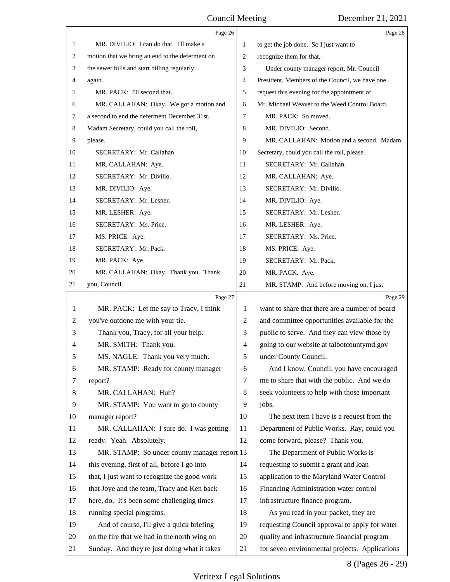<span id="page-8-0"></span>

|    | Page 26                                         |                | Page 28                                        |
|----|-------------------------------------------------|----------------|------------------------------------------------|
| 1  | MR. DIVILIO: I can do that. I'll make a         | 1              | to get the job done. So I just want to         |
| 2  | motion that we bring an end to the deferment on | $\mathbf{2}$   | recognize them for that.                       |
| 3  | the sewer bills and start billing regularly     | 3              | Under county manager report, Mr. Council       |
| 4  | again.                                          | 4              | President, Members of the Council, we have one |
| 5  | MR. PACK: I'll second that.                     | 5              | request this evening for the appointment of    |
| 6  | MR. CALLAHAN: Okay. We got a motion and         | 6              | Mr. Michael Weaver to the Weed Control Board.  |
| 7  | a second to end the deferment December 31st.    | 7              | MR. PACK: So moved.                            |
| 8  | Madam Secretary, could you call the roll,       | 8              | MR. DIVILIO: Second.                           |
| 9  | please.                                         | 9              | MR. CALLAHAN: Motion and a second. Madam       |
| 10 | SECRETARY: Mr. Callahan.                        | 10             | Secretary, could you call the roll, please.    |
| 11 | MR. CALLAHAN: Aye.                              | 11             | SECRETARY: Mr. Callahan.                       |
| 12 | SECRETARY: Mr. Divilio.                         | 12             | MR. CALLAHAN: Aye.                             |
| 13 | MR. DIVILIO: Aye.                               | 13             | SECRETARY: Mr. Divilio.                        |
| 14 | SECRETARY: Mr. Lesher.                          | 14             | MR. DIVILIO: Aye.                              |
| 15 | MR. LESHER: Aye.                                | 15             | SECRETARY: Mr. Lesher.                         |
| 16 | SECRETARY: Ms. Price.                           | 16             | MR. LESHER: Aye.                               |
| 17 | MS. PRICE: Aye.                                 | 17             | SECRETARY: Ms. Price.                          |
| 18 | SECRETARY: Mr. Pack.                            | 18             | MS. PRICE: Aye.                                |
| 19 | MR. PACK: Aye.                                  | 19             | SECRETARY: Mr. Pack.                           |
| 20 | MR. CALLAHAN: Okay. Thank you. Thank            | 20             | MR. PACK: Aye.                                 |
| 21 | you, Council.                                   | 21             | MR. STAMP: And before moving on, I just        |
|    | Page 27                                         |                | Page 29                                        |
| 1  | MR. PACK: Let me say to Tracy, I think          | 1              | want to share that there are a number of board |
| 2  | you've outdone me with your tie.                | 2              | and committee opportunities available for the  |
| 3  | Thank you, Tracy, for all your help.            | 3              | public to serve. And they can view those by    |
| 4  | MR. SMITH: Thank you.                           | $\overline{4}$ | going to our website at talbotcountymd.gov     |
| 5  | MS. NAGLE: Thank you very much.                 | 5              | under County Council.                          |
| 6  | MR. STAMP: Ready for county manager             | 6              | And I know, Council, you have encouraged       |
| 7  | report?                                         | 7              | me to share that with the public. And we do    |
| 8  | MR. CALLAHAN: Huh?                              | $\,8\,$        | seek volunteers to help with those important   |
| 9  | MR. STAMP: You want to go to county             | 9              | jobs.                                          |
| 10 | manager report?                                 | 10             | The next item I have is a request from the     |
| 11 | MR. CALLAHAN: I sure do. I was getting          | 11             | Department of Public Works. Ray, could you     |
| 12 | ready. Yeah. Absolutely.                        | 12             | come forward, please? Thank you.               |
| 13 | MR. STAMP: So under county manager report 13    |                | The Department of Public Works is              |
| 14 | this evening, first of all, before I go into    | 14             | requesting to submit a grant and loan          |
| 15 | that, I just want to recognize the good work    | 15             | application to the Maryland Water Control      |
| 16 |                                                 | 16             | Financing Administration water control         |
|    | that Joye and the team, Tracy and Ken back      |                |                                                |
| 17 | here, do. It's been some challenging times      | 17             | infrastructure finance program.                |
| 18 | running special programs.                       | 18             | As you read in your packet, they are           |
| 19 | And of course, I'll give a quick briefing       | 19             | requesting Council approval to apply for water |
| 20 | on the fire that we had in the north wing on    | 20             | quality and infrastructure financial program   |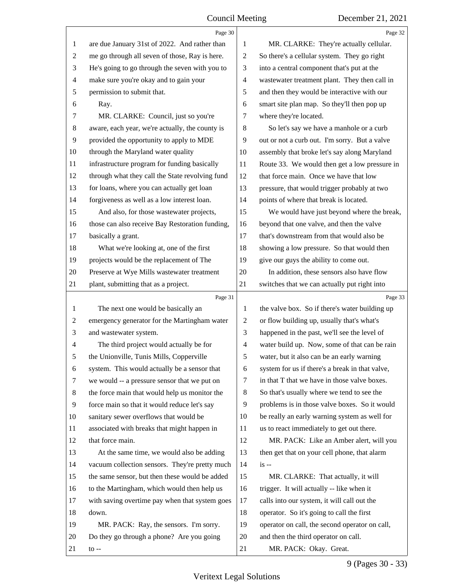<span id="page-9-0"></span>

|    | Page 30                                         |                          | Page 32                                         |
|----|-------------------------------------------------|--------------------------|-------------------------------------------------|
| 1  | are due January 31st of 2022. And rather than   | 1                        | MR. CLARKE: They're actually cellular.          |
| 2  | me go through all seven of those, Ray is here.  | $\overline{c}$           | So there's a cellular system. They go right     |
| 3  | He's going to go through the seven with you to  | 3                        | into a central component that's put at the      |
| 4  | make sure you're okay and to gain your          | $\overline{\mathcal{A}}$ | wastewater treatment plant. They then call in   |
| 5  | permission to submit that.                      | 5                        | and then they would be interactive with our     |
| 6  | Ray.                                            | 6                        | smart site plan map. So they'll then pop up     |
| 7  | MR. CLARKE: Council, just so you're             | 7                        | where they're located.                          |
| 8  | aware, each year, we're actually, the county is | $\,8\,$                  | So let's say we have a manhole or a curb        |
| 9  | provided the opportunity to apply to MDE        | 9                        | out or not a curb out. I'm sorry. But a valve   |
| 10 | through the Maryland water quality              | 10                       | assembly that broke let's say along Maryland    |
| 11 | infrastructure program for funding basically    | 11                       | Route 33. We would then get a low pressure in   |
| 12 | through what they call the State revolving fund | 12                       | that force main. Once we have that low          |
| 13 | for loans, where you can actually get loan      | 13                       | pressure, that would trigger probably at two    |
| 14 | forgiveness as well as a low interest loan.     | 14                       | points of where that break is located.          |
| 15 | And also, for those wastewater projects,        | 15                       | We would have just beyond where the break,      |
| 16 | those can also receive Bay Restoration funding, | 16                       | beyond that one valve, and then the valve       |
| 17 | basically a grant.                              | 17                       | that's downstream from that would also be       |
| 18 | What we're looking at, one of the first         | 18                       | showing a low pressure. So that would then      |
| 19 | projects would be the replacement of The        | 19                       | give our guys the ability to come out.          |
| 20 | Preserve at Wye Mills wastewater treatment      | 20                       | In addition, these sensors also have flow       |
| 21 | plant, submitting that as a project.            | 21                       | switches that we can actually put right into    |
|    |                                                 |                          |                                                 |
|    | Page 31                                         |                          | Page 33                                         |
| 1  | The next one would be basically an              | $\mathbf{1}$             | the valve box. So if there's water building up  |
| 2  | emergency generator for the Martingham water    | 2                        | or flow building up, usually that's what's      |
| 3  | and wastewater system.                          | 3                        | happened in the past, we'll see the level of    |
| 4  | The third project would actually be for         | $\overline{4}$           | water build up. Now, some of that can be rain   |
| 5  | the Unionville, Tunis Mills, Copperville        | 5                        | water, but it also can be an early warning      |
| 6  | system. This would actually be a sensor that    | 6                        | system for us if there's a break in that valve, |
| 7  | we would -- a pressure sensor that we put on    | 7                        | in that T that we have in those valve boxes.    |
| 8  | the force main that would help us monitor the   | 8                        | So that's usually where we tend to see the      |
| 9  | force main so that it would reduce let's say    | 9                        | problems is in those valve boxes. So it would   |
| 10 | sanitary sewer overflows that would be          | 10                       | be really an early warning system as well for   |
| 11 | associated with breaks that might happen in     | 11                       | us to react immediately to get out there.       |
| 12 | that force main.                                | 12                       | MR. PACK: Like an Amber alert, will you         |
| 13 | At the same time, we would also be adding       | 13                       | then get that on your cell phone, that alarm    |
| 14 | vacuum collection sensors. They're pretty much  | 14                       | $is -$                                          |
| 15 | the same sensor, but then these would be added  | 15                       | MR. CLARKE: That actually, it will              |
| 16 | to the Martingham, which would then help us     | 16                       | trigger. It will actually -- like when it       |
| 17 | with saving overtime pay when that system goes  | 17                       | calls into our system, it will call out the     |
| 18 | down.                                           | 18                       | operator. So it's going to call the first       |
| 19 | MR. PACK: Ray, the sensors. I'm sorry.          | 19                       | operator on call, the second operator on call,  |
| 20 | Do they go through a phone? Are you going       | 20                       | and then the third operator on call.            |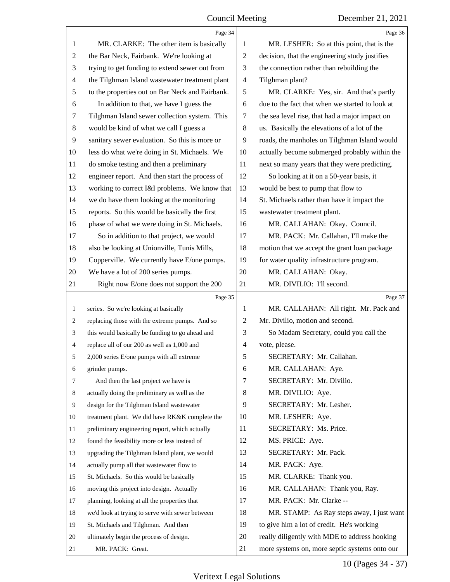<span id="page-10-0"></span>

|                | Page 34                                         |                          | Page 36                                         |
|----------------|-------------------------------------------------|--------------------------|-------------------------------------------------|
| 1              | MR. CLARKE: The other item is basically         | 1                        | MR. LESHER: So at this point, that is the       |
| $\overline{c}$ | the Bar Neck, Fairbank. We're looking at        | $\overline{c}$           | decision, that the engineering study justifies  |
| 3              | trying to get funding to extend sewer out from  | 3                        | the connection rather than rebuilding the       |
| $\overline{4}$ | the Tilghman Island wastewater treatment plant  | $\overline{\mathcal{A}}$ | Tilghman plant?                                 |
| 5              | to the properties out on Bar Neck and Fairbank. | 5                        | MR. CLARKE: Yes, sir. And that's partly         |
| 6              | In addition to that, we have I guess the        | 6                        | due to the fact that when we started to look at |
| 7              | Tilghman Island sewer collection system. This   | 7                        | the sea level rise, that had a major impact on  |
| 8              | would be kind of what we call I guess a         | $\,8\,$                  | us. Basically the elevations of a lot of the    |
| 9              | sanitary sewer evaluation. So this is more or   | 9                        | roads, the manholes on Tilghman Island would    |
| 10             | less do what we're doing in St. Michaels. We    | 10                       | actually become submerged probably within the   |
| 11             | do smoke testing and then a preliminary         | 11                       | next so many years that they were predicting.   |
| 12             | engineer report. And then start the process of  | 12                       | So looking at it on a 50-year basis, it         |
| 13             | working to correct I&I problems. We know that   | 13                       | would be best to pump that flow to              |
| 14             | we do have them looking at the monitoring       | 14                       | St. Michaels rather than have it impact the     |
| 15             | reports. So this would be basically the first   | 15                       | wastewater treatment plant.                     |
| 16             | phase of what we were doing in St. Michaels.    | 16                       | MR. CALLAHAN: Okay. Council.                    |
| 17             | So in addition to that project, we would        | 17                       | MR. PACK: Mr. Callahan, I'll make the           |
| 18             | also be looking at Unionville, Tunis Mills,     | 18                       | motion that we accept the grant loan package    |
| 19             | Copperville. We currently have E/one pumps.     | 19                       | for water quality infrastructure program.       |
| 20             | We have a lot of 200 series pumps.              | 20                       | MR. CALLAHAN: Okay.                             |
| 21             | Right now E/one does not support the 200        | 21                       | MR. DIVILIO: I'll second.                       |
|                |                                                 |                          |                                                 |
|                | Page 35                                         |                          | Page 37                                         |
| $\mathbf{1}$   | series. So we're looking at basically           | 1                        | MR. CALLAHAN: All right. Mr. Pack and           |
| 2              | replacing those with the extreme pumps. And so  | 2                        | Mr. Divilio, motion and second.                 |
| 3              | this would basically be funding to go ahead and | 3                        | So Madam Secretary, could you call the          |
| 4              | replace all of our 200 as well as 1,000 and     | 4                        | vote, please.                                   |
| 5              | 2,000 series E/one pumps with all extreme       | 5                        | SECRETARY: Mr. Callahan.                        |
| 6              | grinder pumps.                                  | 6                        | MR. CALLAHAN: Aye.                              |
| 7              | And then the last project we have is            | 7                        | SECRETARY: Mr. Divilio.                         |
| 8              | actually doing the preliminary as well as the   | 8                        | MR. DIVILIO: Aye.                               |
| 9              | design for the Tilghman Island wastewater       | 9                        | SECRETARY: Mr. Lesher.                          |
| 10             | treatment plant. We did have RK&K complete the  | 10                       | MR. LESHER: Aye.                                |
| 11             | preliminary engineering report, which actually  | 11                       | SECRETARY: Ms. Price.                           |
| 12             | found the feasibility more or less instead of   | 12                       | MS. PRICE: Aye.                                 |
| 13             | upgrading the Tilghman Island plant, we would   | 13                       | SECRETARY: Mr. Pack.                            |
| 14             | actually pump all that wastewater flow to       | 14                       | MR. PACK: Aye.                                  |
| 15             | St. Michaels. So this would be basically        | 15                       | MR. CLARKE: Thank you.                          |
| 16             | moving this project into design. Actually       | 16                       | MR. CALLAHAN: Thank you, Ray.                   |
| 17             | planning, looking at all the properties that    | 17                       | MR. PACK: Mr. Clarke --                         |
| 18             | we'd look at trying to serve with sewer between | 18                       | MR. STAMP: As Ray steps away, I just want       |
| 19             | St. Michaels and Tilghman. And then             | 19                       | to give him a lot of credit. He's working       |
| 20             | ultimately begin the process of design.         | 20                       | really diligently with MDE to address hooking   |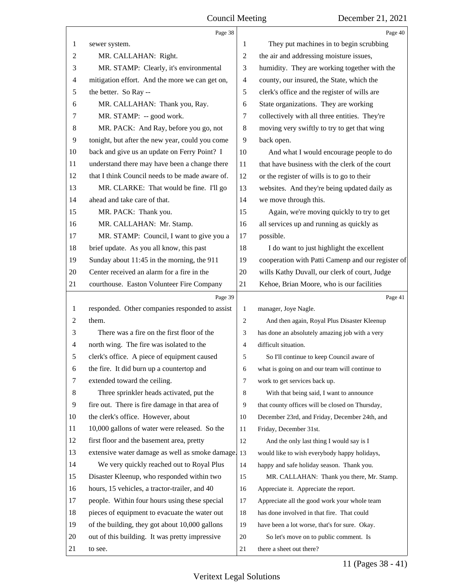<span id="page-11-0"></span>

|                | Page 38                                         |                | Page 40                                           |
|----------------|-------------------------------------------------|----------------|---------------------------------------------------|
| 1              | sewer system.                                   | 1              | They put machines in to begin scrubbing           |
| $\overline{c}$ | MR. CALLAHAN: Right.                            | 2              | the air and addressing moisture issues,           |
| 3              | MR. STAMP: Clearly, it's environmental          | 3              | humidity. They are working together with the      |
| 4              | mitigation effort. And the more we can get on,  | $\overline{4}$ | county, our insured, the State, which the         |
| 5              | the better. So Ray --                           | 5              | clerk's office and the register of wills are      |
| 6              | MR. CALLAHAN: Thank you, Ray.                   | 6              | State organizations. They are working             |
| 7              | MR. STAMP: -- good work.                        | 7              | collectively with all three entities. They're     |
| 8              | MR. PACK: And Ray, before you go, not           | 8              | moving very swiftly to try to get that wing       |
| 9              | tonight, but after the new year, could you come | 9              | back open.                                        |
| 10             | back and give us an update on Ferry Point? I    | 10             | And what I would encourage people to do           |
| 11             | understand there may have been a change there   | 11             | that have business with the clerk of the court    |
| 12             | that I think Council needs to be made aware of. | 12             | or the register of wills is to go to their        |
| 13             | MR. CLARKE: That would be fine. I'll go         | 13             | websites. And they're being updated daily as      |
| 14             | ahead and take care of that.                    | 14             | we move through this.                             |
| 15             | MR. PACK: Thank you.                            | 15             | Again, we're moving quickly to try to get         |
| 16             | MR. CALLAHAN: Mr. Stamp.                        | 16             | all services up and running as quickly as         |
| 17             | MR. STAMP: Council, I want to give you a        | 17             | possible.                                         |
| 18             | brief update. As you all know, this past        | 18             | I do want to just highlight the excellent         |
| 19             | Sunday about 11:45 in the morning, the 911      | 19             | cooperation with Patti Camenp and our register of |
| 20             | Center received an alarm for a fire in the      | 20             | wills Kathy Duvall, our clerk of court, Judge     |
| 21             | courthouse. Easton Volunteer Fire Company       | 21             | Kehoe, Brian Moore, who is our facilities         |
|                | Page 39                                         |                | Page 41                                           |
| $\mathbf{1}$   | responded. Other companies responded to assist  | 1              | manager, Joye Nagle.                              |
| 2              | them.                                           | $\overline{2}$ | And then again, Royal Plus Disaster Kleenup       |
| 3              | There was a fire on the first floor of the      | 3              | has done an absolutely amazing job with a very    |
| 4              | north wing. The fire was isolated to the        | 4              | difficult situation.                              |
| 5              | clerk's office. A piece of equipment caused     | 5              | So I'll continue to keep Council aware of         |
| 6              | the fire. It did burn up a countertop and       | 6              | what is going on and our team will continue to    |
| 7              | extended toward the ceiling.                    | $\overline{7}$ | work to get services back up.                     |
| 8              | Three sprinkler heads activated, put the        | 8              | With that being said, I want to announce          |
| 9              |                                                 |                |                                                   |
| 10             | fire out. There is fire damage in that area of  | 9              | that county offices will be closed on Thursday,   |
| 11             | the clerk's office. However, about              | 10             | December 23rd, and Friday, December 24th, and     |
|                | 10,000 gallons of water were released. So the   | 11             | Friday, December 31st.                            |
| 12             | first floor and the basement area, pretty       | 12             | And the only last thing I would say is I          |
| 13             | extensive water damage as well as smoke damage. | 13             | would like to wish everybody happy holidays,      |
| 14             | We very quickly reached out to Royal Plus       | 14             | happy and safe holiday season. Thank you.         |
| 15             | Disaster Kleenup, who responded within two      | 15             | MR. CALLAHAN: Thank you there, Mr. Stamp.         |
| 16             | hours, 15 vehicles, a tractor-trailer, and 40   | 16             | Appreciate it. Appreciate the report.             |
| 17             | people. Within four hours using these special   | 17             | Appreciate all the good work your whole team      |
| 18             | pieces of equipment to evacuate the water out   | 18             | has done involved in that fire. That could        |
| 19             | of the building, they got about 10,000 gallons  | 19             | have been a lot worse, that's for sure. Okay.     |
| 20             | out of this building. It was pretty impressive  | 20             | So let's move on to public comment. Is            |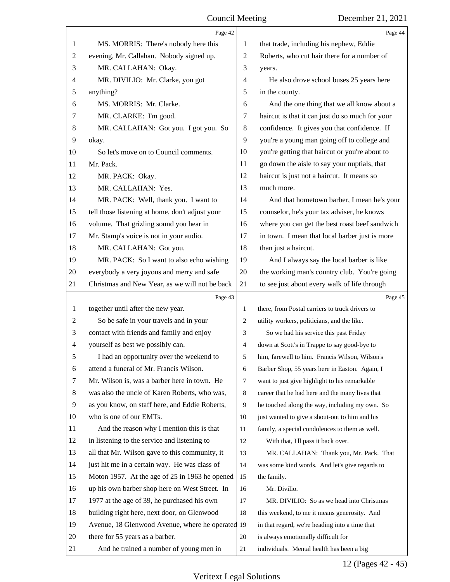<span id="page-12-0"></span>

|    | Page 42                                          |                | Page 44                                         |
|----|--------------------------------------------------|----------------|-------------------------------------------------|
| 1  | MS. MORRIS: There's nobody here this             | 1              | that trade, including his nephew, Eddie         |
| 2  | evening, Mr. Callahan. Nobody signed up.         | 2              | Roberts, who cut hair there for a number of     |
| 3  | MR. CALLAHAN: Okay.                              | 3              | years.                                          |
| 4  | MR. DIVILIO: Mr. Clarke, you got                 | 4              | He also drove school buses 25 years here        |
| 5  | anything?                                        | 5              | in the county.                                  |
| 6  | MS. MORRIS: Mr. Clarke.                          | 6              | And the one thing that we all know about a      |
| 7  | MR. CLARKE: I'm good.                            | 7              | haircut is that it can just do so much for your |
| 8  | MR. CALLAHAN: Got you. I got you. So             | 8              | confidence. It gives you that confidence. If    |
| 9  | okay.                                            | 9              | you're a young man going off to college and     |
| 10 | So let's move on to Council comments.            | 10             | you're getting that haircut or you're about to  |
| 11 | Mr. Pack.                                        | 11             | go down the aisle to say your nuptials, that    |
| 12 | MR. PACK: Okay.                                  | 12             | haircut is just not a haircut. It means so      |
| 13 | MR. CALLAHAN: Yes.                               | 13             | much more.                                      |
| 14 | MR. PACK: Well, thank you. I want to             | 14             | And that hometown barber, I mean he's your      |
| 15 | tell those listening at home, don't adjust your  | 15             | counselor, he's your tax adviser, he knows      |
| 16 | volume. That grizling sound you hear in          | 16             | where you can get the best roast beef sandwich  |
| 17 | Mr. Stamp's voice is not in your audio.          | 17             | in town. I mean that local barber just is more  |
| 18 | MR. CALLAHAN: Got you.                           | 18             | than just a haircut.                            |
| 19 | MR. PACK: So I want to also echo wishing         | 19             | And I always say the local barber is like       |
| 20 | everybody a very joyous and merry and safe       | 20             | the working man's country club. You're going    |
| 21 | Christmas and New Year, as we will not be back   | 21             | to see just about every walk of life through    |
|    |                                                  |                |                                                 |
|    | Page 43                                          |                | Page 45                                         |
| 1  | together until after the new year.               | 1              | there, from Postal carriers to truck drivers to |
| 2  | So be safe in your travels and in your           | 2              | utility workers, politicians, and the like.     |
| 3  | contact with friends and family and enjoy        | 3              | So we had his service this past Friday          |
| 4  | yourself as best we possibly can.                | $\overline{4}$ | down at Scott's in Trappe to say good-bye to    |
| 5  | I had an opportunity over the weekend to         | 5              | him, farewell to him. Francis Wilson, Wilson's  |
| 6  | attend a funeral of Mr. Francis Wilson.          | 6              | Barber Shop, 55 years here in Easton. Again, I  |
| 7  | Mr. Wilson is, was a barber here in town. He     | 7              | want to just give highlight to his remarkable   |
| 8  | was also the uncle of Karen Roberts, who was,    | 8              | career that he had here and the many lives that |
| 9  | as you know, on staff here, and Eddie Roberts,   | 9              | he touched along the way, including my own. So  |
| 10 | who is one of our EMTs.                          | 10             | just wanted to give a shout-out to him and his  |
| 11 | And the reason why I mention this is that        | 11             | family, a special condolences to them as well.  |
| 12 | in listening to the service and listening to     | 12             | With that, I'll pass it back over.              |
| 13 | all that Mr. Wilson gave to this community, it   | 13             | MR. CALLAHAN: Thank you, Mr. Pack. That         |
| 14 | just hit me in a certain way. He was class of    | 14             | was some kind words. And let's give regards to  |
| 15 | Moton 1957. At the age of 25 in 1963 he opened   | 15             | the family.                                     |
| 16 | up his own barber shop here on West Street. In   | 16             | Mr. Divilio.                                    |
| 17 | 1977 at the age of 39, he purchased his own      | 17             | MR. DIVILIO: So as we head into Christmas       |
| 18 | building right here, next door, on Glenwood      | 18             | this weekend, to me it means generosity. And    |
| 19 | Avenue, 18 Glenwood Avenue, where he operated 19 |                | in that regard, we're heading into a time that  |
| 20 | there for 55 years as a barber.                  | 20             | is always emotionally difficult for             |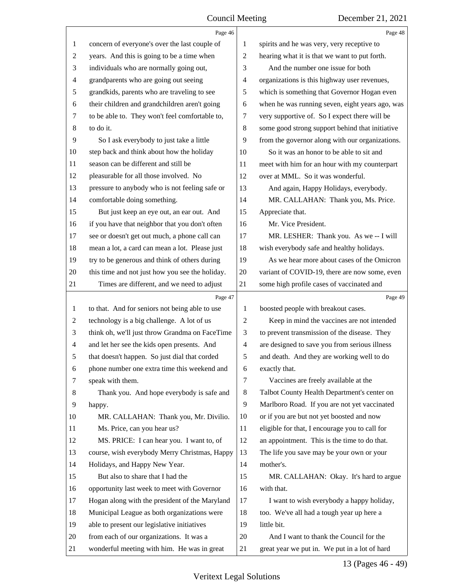<span id="page-13-0"></span>

|                          | Page 46                                         |                | Page 48                                         |
|--------------------------|-------------------------------------------------|----------------|-------------------------------------------------|
| 1                        | concern of everyone's over the last couple of   | 1              | spirits and he was very, very receptive to      |
| $\overline{2}$           | years. And this is going to be a time when      | $\overline{2}$ | hearing what it is that we want to put forth.   |
| 3                        | individuals who are normally going out,         | 3              | And the number one issue for both               |
| $\overline{\mathcal{A}}$ | grandparents who are going out seeing           | $\overline{4}$ | organizations is this highway user revenues,    |
| 5                        | grandkids, parents who are traveling to see     | 5              | which is something that Governor Hogan even     |
| 6                        | their children and grandchildren aren't going   | 6              | when he was running seven, eight years ago, was |
| 7                        | to be able to. They won't feel comfortable to,  | 7              | very supportive of. So I expect there will be   |
| 8                        | to do it.                                       | $\,8\,$        | some good strong support behind that initiative |
| 9                        | So I ask everybody to just take a little        | 9              | from the governor along with our organizations. |
| 10                       | step back and think about how the holiday       | 10             | So it was an honor to be able to sit and        |
| 11                       | season can be different and still be            | 11             | meet with him for an hour with my counterpart   |
| 12                       | pleasurable for all those involved. No          | 12             | over at MML. So it was wonderful.               |
| 13                       | pressure to anybody who is not feeling safe or  | 13             | And again, Happy Holidays, everybody.           |
| 14                       | comfortable doing something.                    | 14             | MR. CALLAHAN: Thank you, Ms. Price.             |
| 15                       | But just keep an eye out, an ear out. And       | 15             | Appreciate that.                                |
| 16                       | if you have that neighbor that you don't often  | 16             | Mr. Vice President.                             |
| 17                       | see or doesn't get out much, a phone call can   | 17             | MR. LESHER: Thank you. As we -- I will          |
| 18                       | mean a lot, a card can mean a lot. Please just  | 18             | wish everybody safe and healthy holidays.       |
| 19                       | try to be generous and think of others during   | 19             | As we hear more about cases of the Omicron      |
| 20                       | this time and not just how you see the holiday. | 20             | variant of COVID-19, there are now some, even   |
| 21                       | Times are different, and we need to adjust      | 21             | some high profile cases of vaccinated and       |
|                          |                                                 |                |                                                 |
|                          | Page 47                                         |                | Page 49                                         |
| 1                        | to that. And for seniors not being able to use  | 1              | boosted people with breakout cases.             |
| 2                        | technology is a big challenge. A lot of us      | $\overline{2}$ | Keep in mind the vaccines are not intended      |
| 3                        | think oh, we'll just throw Grandma on FaceTime  | 3              | to prevent transmission of the disease. They    |
| $\overline{4}$           | and let her see the kids open presents. And     | $\overline{4}$ | are designed to save you from serious illness   |
| 5                        | that doesn't happen. So just dial that corded   | 5              | and death. And they are working well to do      |
| 6                        | phone number one extra time this weekend and    | 6              | exactly that.                                   |
| 7                        | speak with them.                                | $\tau$         | Vaccines are freely available at the            |
| 8                        | Thank you. And hope everybody is safe and       | 8              | Talbot County Health Department's center on     |
| 9                        | happy.                                          | 9              | Marlboro Road. If you are not yet vaccinated    |
| 10                       | MR. CALLAHAN: Thank you, Mr. Divilio.           | 10             | or if you are but not yet boosted and now       |
| 11                       | Ms. Price, can you hear us?                     | 11             | eligible for that, I encourage you to call for  |
| 12                       | MS. PRICE: I can hear you. I want to, of        | 12             | an appointment. This is the time to do that.    |
| 13                       | course, wish everybody Merry Christmas, Happy   | 13             | The life you save may be your own or your       |
| 14                       | Holidays, and Happy New Year.                   | 14             | mother's.                                       |
| 15                       | But also to share that I had the                | 15             | MR. CALLAHAN: Okay. It's hard to argue          |
| 16                       | opportunity last week to meet with Governor     | 16             | with that.                                      |
| 17                       | Hogan along with the president of the Maryland  | 17             | I want to wish everybody a happy holiday,       |
| 18                       | Municipal League as both organizations were     | 18             | too. We've all had a tough year up here a       |
| 19                       | able to present our legislative initiatives     | 19             | little bit.                                     |
| 20                       | from each of our organizations. It was a        | 20             | And I want to thank the Council for the         |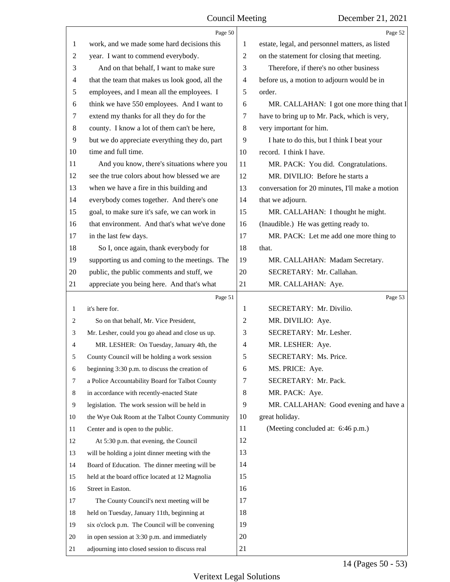<span id="page-14-0"></span>

|              | Page 50                                         |                | Page 52                                         |
|--------------|-------------------------------------------------|----------------|-------------------------------------------------|
| 1            | work, and we made some hard decisions this      | 1              | estate, legal, and personnel matters, as listed |
| 2            | year. I want to commend everybody.              | $\overline{2}$ | on the statement for closing that meeting.      |
| 3            | And on that behalf, I want to make sure         | 3              | Therefore, if there's no other business         |
| 4            | that the team that makes us look good, all the  | $\overline{4}$ | before us, a motion to adjourn would be in      |
| 5            | employees, and I mean all the employees. I      | 5              | order.                                          |
| 6            | think we have 550 employees. And I want to      | 6              | MR. CALLAHAN: I got one more thing that I       |
| 7            | extend my thanks for all they do for the        | 7              | have to bring up to Mr. Pack, which is very,    |
| 8            | county. I know a lot of them can't be here,     | $\,8\,$        | very important for him.                         |
| 9            | but we do appreciate everything they do, part   | 9              | I hate to do this, but I think I beat your      |
| 10           | time and full time.                             | 10             | record. I think I have.                         |
| 11           | And you know, there's situations where you      | 11             | MR. PACK: You did. Congratulations.             |
| 12           | see the true colors about how blessed we are    | 12             | MR. DIVILIO: Before he starts a                 |
| 13           | when we have a fire in this building and        | 13             | conversation for 20 minutes, I'll make a motion |
| 14           | everybody comes together. And there's one       | 14             | that we adjourn.                                |
| 15           | goal, to make sure it's safe, we can work in    | 15             | MR. CALLAHAN: I thought he might.               |
| 16           | that environment. And that's what we've done    | 16             | (Inaudible.) He was getting ready to.           |
| 17           | in the last few days.                           | 17             | MR. PACK: Let me add one more thing to          |
| 18           | So I, once again, thank everybody for           | 18             | that.                                           |
| 19           | supporting us and coming to the meetings. The   | 19             | MR. CALLAHAN: Madam Secretary.                  |
| 20           | public, the public comments and stuff, we       | 20             | SECRETARY: Mr. Callahan.                        |
| 21           | appreciate you being here. And that's what      | 21             | MR. CALLAHAN: Aye.                              |
|              | Page 51                                         |                | Page 53                                         |
|              |                                                 |                |                                                 |
| $\mathbf{1}$ | it's here for.                                  | 1              | SECRETARY: Mr. Divilio.                         |
| 2            | So on that behalf, Mr. Vice President,          | $\overline{c}$ | MR. DIVILIO: Aye.                               |
| 3            | Mr. Lesher, could you go ahead and close us up. | 3              | SECRETARY: Mr. Lesher.                          |
| 4            | MR. LESHER: On Tuesday, January 4th, the        | $\overline{4}$ | MR. LESHER: Aye.                                |
|              | County Council will be holding a work session   | 5              | SECRETARY: Ms. Price.                           |
| 6            | beginning 3:30 p.m. to discuss the creation of  | 6              | MS. PRICE: Aye.                                 |
| 7            | a Police Accountability Board for Talbot County | $\tau$         | SECRETARY: Mr. Pack.                            |
| 8            | in accordance with recently-enacted State       | 8              | MR. PACK: Aye.                                  |
| 9            | legislation. The work session will be held in   | 9              | MR. CALLAHAN: Good evening and have a           |
| 10           | the Wye Oak Room at the Talbot County Community | 10             | great holiday.                                  |
| 11           | Center and is open to the public.               | 11             | (Meeting concluded at: 6:46 p.m.)               |
| 12           | At 5:30 p.m. that evening, the Council          | 12             |                                                 |
| 13           | will be holding a joint dinner meeting with the | 13             |                                                 |
| 14           | Board of Education. The dinner meeting will be  | 14             |                                                 |
| 15           | held at the board office located at 12 Magnolia | 15             |                                                 |
| 16           | Street in Easton.                               | 16             |                                                 |
| 17           | The County Council's next meeting will be       | 17             |                                                 |
| 18           | held on Tuesday, January 11th, beginning at     | 18             |                                                 |
| 19           | six o'clock p.m. The Council will be convening  | 19             |                                                 |
| 20           | in open session at 3:30 p.m. and immediately    | 20             |                                                 |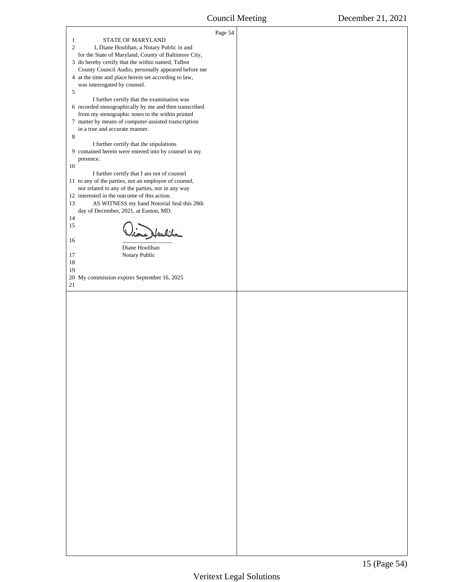<span id="page-15-0"></span>

| STATE OF MARYLAND<br>$\mathbf{1}$                                                                                 | Page 54 |  |
|-------------------------------------------------------------------------------------------------------------------|---------|--|
| $\mathbf{2}$<br>I, Diane Houlihan, a Notary Public in and<br>for the State of Maryland, County of Baltimore City, |         |  |
| 3 do hereby certify that the within named, Talbot<br>County Council Audio, personally appeared before me          |         |  |
| 4 at the time and place herein set according to law,<br>was interrogated by counsel.<br>5                         |         |  |
| I further certify that the examination was<br>6 recorded stenographically by me and then transcribed              |         |  |
| from my stenographic notes to the within printed<br>7 matter by means of computer-assisted transcription          |         |  |
| in a true and accurate manner.<br>8                                                                               |         |  |
| I further certify that the stipulations<br>9 contained herein were entered into by counsel in my                  |         |  |
| presence.<br>10                                                                                                   |         |  |
| I further certify that I am not of counsel<br>11 to any of the parties, not an employee of counsel,               |         |  |
| nor related to any of the parties, nor in any way<br>12 interested in the outcome of this action.                 |         |  |
| 13<br>AS WITNESS my hand Notorial Seal this 28th<br>day of December, 2021, at Easton, MD.                         |         |  |
| 14<br>15                                                                                                          |         |  |
| ione Heulin<br>16                                                                                                 |         |  |
| Diane Houlihan<br>Notary Public<br>17                                                                             |         |  |
| 18<br>19                                                                                                          |         |  |
| 20 My commission expires September 16, 2025<br>$21\,$                                                             |         |  |
|                                                                                                                   |         |  |
|                                                                                                                   |         |  |
|                                                                                                                   |         |  |
|                                                                                                                   |         |  |
|                                                                                                                   |         |  |
|                                                                                                                   |         |  |
|                                                                                                                   |         |  |
|                                                                                                                   |         |  |
|                                                                                                                   |         |  |
|                                                                                                                   |         |  |
|                                                                                                                   |         |  |
|                                                                                                                   |         |  |
|                                                                                                                   |         |  |
|                                                                                                                   |         |  |
|                                                                                                                   |         |  |
|                                                                                                                   |         |  |
|                                                                                                                   |         |  |
|                                                                                                                   |         |  |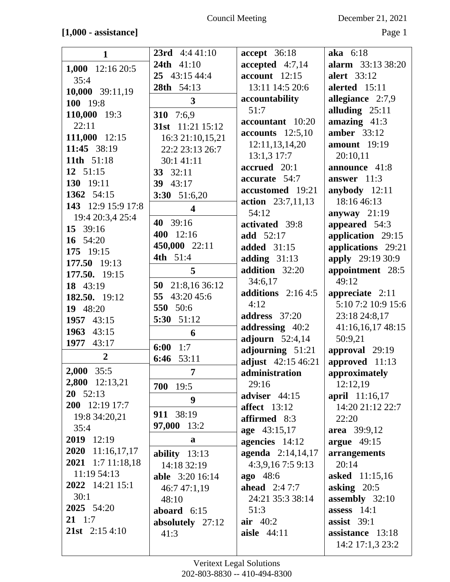## **[1,000 - assistance]** Page 1

| $\mathbf{1}$       | <b>23rd</b> $4:441:10$  | <b>accept</b> 36:18                      | aka 6:18                        |
|--------------------|-------------------------|------------------------------------------|---------------------------------|
| 1,000 12:16 20:5   | <b>24th</b> 41:10       | accepted $4:7,14$                        | <b>alarm</b> 33:13 38:20        |
| 35:4               | 25 43:15 44:4           | $account$ 12:15                          | alert 33:12                     |
| 10,000 39:11,19    | 28th 54:13              | 13:11 14:5 20:6                          | alerted 15:11                   |
| 100 19:8           | 3                       | accountability                           | allegiance 2:7,9                |
| 110,000 19:3       | 310 7:6,9               | 51:7                                     | alluding $25:11$                |
| 22:11              | 31st 11:21 15:12        | accountant 10:20                         | amazing $41:3$                  |
| 111,000 12:15      | 16:3 21:10,15,21        | $accounts$ 12:5,10                       | amber $33:12$                   |
| 11:45 38:19        | 22:2 23:13 26:7         | 12:11,13,14,20                           | <b>amount</b> 19:19             |
| 11th 51:18         | 30:1 41:11              | $13:1,3$ 17:7                            | 20:10,11                        |
| 12 $51:15$         | 33 32:11                | accrued 20:1                             | announce 41:8                   |
| 130 19:11          | 39 43:17                | accurate 54:7                            | answer $11:3$                   |
| 1362 54:15         | 3:30 51:6,20            | accustomed 19:21                         | anybody $12:11$                 |
| 143 12:9 15:9 17:8 | $\overline{\mathbf{4}}$ | action 23:7,11,13                        | 18:16 46:13                     |
| 19:4 20:3,4 25:4   |                         | 54:12                                    | anyway $21:19$                  |
| 15 39:16           | 40 39:16                | activated 39:8                           | appeared 54:3                   |
| 16 54:20           | 400 12:16               | add 52:17                                | application 29:15               |
| 175 19:15          | 450,000 22:11           | <b>added</b> 31:15                       | applications 29:21              |
| 177.50 19:13       | 4th 51:4                | adding $31:13$                           | <b>apply</b> 29:19 30:9         |
| 177.50. 19:15      | 5                       | addition 32:20                           | appointment 28:5                |
| 18 43:19           | 50 21:8,16 36:12        | 34:6,17                                  | 49:12                           |
| 182.50. 19:12      | 43:20 45:6<br>55        | additions $2:164:5$                      | appreciate $2:11$               |
| 19 48:20           | 550 50:6                | 4:12                                     | 5:10 7:2 10:9 15:6              |
| 1957 43:15         | 5:30 51:12              | address 37:20                            | 23:18 24:8,17                   |
| 1963 43:15         | 6                       | addressing 40:2                          | 41:16,16,17 48:15               |
| 1977<br>43:17      | 1:7<br>6:00             | adjourn $52:4,14$                        | 50:9,21                         |
| $\overline{2}$     | 53:11<br>6:46           | adjourning 51:21                         | approval 29:19                  |
| 2,000<br>35:5      |                         | adjust 42:15 46:21                       | approved 11:13                  |
| 2,800 12:13,21     | 7                       | administration                           | approximately                   |
| $20 \quad 52:13$   | 700 19:5                | 29:16                                    | 12:12,19                        |
| 200 12:19 17:7     | 9                       | adviser 44:15                            | april 11:16,17                  |
| 19:8 34:20,21      | 911 38:19               | affect $13:12$                           | 14:20 21:12 22:7                |
| 35:4               | 97,000 13:2             | affirmed 8:3                             | 22:20                           |
| 2019 12:19         | a                       | age 43:15,17                             | area 39:9,12                    |
| 2020 11:16,17,17   |                         | agencies 14:12                           | argue $49:15$                   |
| 2021 1:7 11:18,18  | ability $13:13$         | agenda 2:14,14,17                        | arrangements                    |
| 11:19 54:13        | 14:18 32:19             | 4:3,9,167:59:13                          | 20:14                           |
| 2022 14:21 15:1    | <b>able</b> 3:20 16:14  | <b>ago</b> 48:6<br><b>ahead</b> $2:47:7$ | <b>asked</b> 11:15,16           |
| 30:1               | 46:7 47:1,19            | 24:21 35:3 38:14                         | asking $20:5$                   |
| 2025 54:20         | 48:10                   | 51:3                                     | assembly 32:10<br>assess $14:1$ |
| $21 \t1:7$         | aboard $6:15$           | air $40:2$                               | assist $39:1$                   |
| 21st $2:154:10$    | absolutely 27:12        | aisle 44:11                              | assistance 13:18                |
|                    | 41:3                    |                                          |                                 |
|                    |                         |                                          | 14:2 17:1,3 23:2                |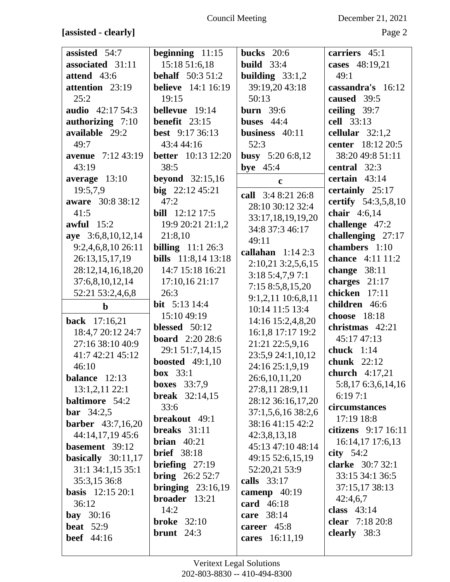Council Meeting December 21, 2021

**[assisted - clearly]** Page 2

| assisted 54:7            | beginning $11:15$          | bucks $20:6$        | carriers 45:1                           |
|--------------------------|----------------------------|---------------------|-----------------------------------------|
| associated 31:11         | 15:18 51:6,18              | <b>build</b> $33:4$ | cases 48:19,21                          |
| attend 43:6              | <b>behalf</b> $50:351:2$   | building $33:1,2$   | 49:1                                    |
|                          |                            |                     |                                         |
| attention 23:19          | <b>believe</b> 14:1 16:19  | 39:19,20 43:18      | cassandra's 16:12                       |
| 25:2                     | 19:15                      | 50:13               | caused 39:5                             |
| <b>audio</b> 42:17 54:3  | bellevue 19:14             | burn $39:6$         | ceiling 39:7                            |
| authorizing 7:10         | <b>benefit</b> $23:15$     | buses $44:4$        | cell 33:13                              |
| available 29:2           | <b>best</b> 9:17 36:13     | business 40:11      | cellular $32:1,2$                       |
| 49:7                     | 43:4 44:16                 | 52:3                | center 18:12 20:5                       |
| <b>avenue</b> 7:12 43:19 | <b>better</b> 10:13 12:20  | busy $5:206:8,12$   | 38:20 49:8 51:11                        |
|                          |                            |                     |                                         |
| 43:19                    | 38:5                       | bye $45:4$          | central 32:3                            |
| average 13:10            | <b>beyond</b> 32:15,16     | $\mathbf c$         | certain $43:14$                         |
| 19:5,7,9                 | big $22:1245:21$           | call 3:4 8:21 26:8  | certainly 25:17                         |
| aware 30:8 38:12         | 47:2                       | 28:10 30:12 32:4    | certify 54:3,5,8,10                     |
| 41:5                     | <b>bill</b> 12:12 17:5     |                     | chair $4:6,14$                          |
| awful $15:2$             | 19:9 20:21 21:1,2          | 33:17,18,19,19,20   | challenge 47:2                          |
| aye 3:6,8,10,12,14       | 21:8,10                    | 34:8 37:3 46:17     | challenging 27:17                       |
|                          |                            | 49:11               |                                         |
| 9:2,4,6,8,10 26:11       | <b>billing</b> $11:126:3$  | callahan $1:142:3$  | chambers 1:10                           |
| 26:13,15,17,19           | <b>bills</b> 11:8,14 13:18 | 2:10,21 3:2,5,6,15  | <b>chance</b> 4:11 11:2                 |
| 28:12,14,16,18,20        | 14:7 15:18 16:21           | 3:185:4,7,97:1      | change $38:11$                          |
| 37:6,8,10,12,14          | 17:10,16 21:17             | 7:158:5,8,15,20     | charges $21:17$                         |
| 52:21 53:2,4,6,8         | 26:3                       |                     | chicken 17:11                           |
|                          |                            | 9:1,2,11 10:6,8,11  |                                         |
|                          | <b>bit</b> $5:13\ 14:4$    |                     | children 46:6                           |
| $\mathbf b$              |                            | 10:14 11:5 13:4     |                                         |
| back 17:16,21            | 15:10 49:19                | 14:16 15:2,4,8,20   | choose 18:18                            |
| 18:4,7 20:12 24:7        | blessed $50:12$            | 16:1,8 17:17 19:2   | christmas 42:21                         |
| 27:16 38:10 40:9         | <b>board</b> 2:20 28:6     | 21:21 22:5,9,16     | 45:17 47:13                             |
| 41:7 42:21 45:12         | 29:1 51:7,14,15            | 23:5,9 24:1,10,12   | chuck $1:14$                            |
| 46:10                    | <b>boosted</b> 49:1,10     | 24:16 25:1,9,19     | chunk 22:12                             |
|                          | box $33:1$                 |                     | church $4:17,21$                        |
| balance 12:13            | boxes $33:7,9$             | 26:6, 10, 11, 20    | 5:8,17 6:3,6,14,16                      |
| $13:1,2,11$ 22:1         | <b>break</b> $32:14,15$    | 27:8,11 28:9,11     | 6:197:1                                 |
| <b>baltimore</b> 54:2    | 33:6                       | 28:12 36:16,17,20   | circumstances                           |
| <b>bar</b> $34:2,5$      |                            | 37:1,5,6,16 38:2,6  |                                         |
| <b>barber</b> 43:7,16,20 | breakout 49:1              | 38:16 41:15 42:2    | 17:19 18:8                              |
| 44:14,17,19 45:6         | breaks $31:11$             | 42:3,8,13,18        |                                         |
| basement 39:12           | brian $40:21$              | 45:13 47:10 48:14   | citizens 9:17 16:11<br>16:14,17 17:6,13 |
| basically $30:11,17$     | <b>brief</b> 38:18         | 49:15 52:6,15,19    | city $54:2$                             |
|                          | <b>briefing</b> $27:19$    |                     | clarke 30:7 32:1                        |
| 31:1 34:1,15 35:1        | <b>bring</b> $26:252:7$    | 52:20,21 53:9       | 33:15 34:1 36:5                         |
| 35:3,15 36:8             | bringing $23:16,19$        | calls 33:17         | 37:15,17 38:13                          |
| <b>basis</b> 12:15 20:1  | broader 13:21              | camenp $40:19$      | 42:4,6,7                                |
| 36:12                    | 14:2                       | card 46:18          | class $43:14$                           |
| bay $30:16$              |                            | care 38:14          |                                         |
| <b>beat</b> 52:9         | <b>broke</b> 32:10         | career 45:8         | clear 7:18 20:8                         |
| <b>beef</b> 44:16        | brunt $24:3$               | cares 16:11,19      | clearly 38:3                            |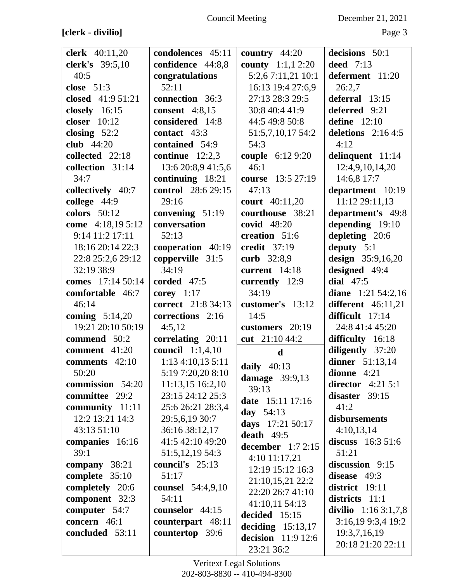| clerk 40:11,20     | condolences 45:11        | country $44:20$                           | decisions 50:1        |
|--------------------|--------------------------|-------------------------------------------|-----------------------|
| clerk's 39:5,10    | confidence 44:8,8        | <b>county</b> $1:1,1$ 2:20                | deed $7:13$           |
| 40:5               | congratulations          | 5:2,67:11,21 10:1                         | deferment 11:20       |
| close $51:3$       | 52:11                    | 16:13 19:4 27:6,9                         | 26:2,7                |
| closed $41:951:21$ | connection 36:3          | 27:13 28:3 29:5                           | deferral $13:15$      |
| closely 16:15      | consent 4:8,15           | 30:8 40:4 41:9                            | deferred 9:21         |
| closer 10:12       | considered 14:8          | 44:5 49:8 50:8                            | define $12:10$        |
| closing $52:2$     | contact 43:3             | 51:5,7,10,17 54:2                         | deletions $2:164:5$   |
| club $44:20$       | contained 54:9           | 54:3                                      | 4:12                  |
| collected 22:18    | continue $12:2,3$        | couple 6:12 9:20                          | delinquent 11:14      |
| collection 31:14   | 13:6 20:8,9 41:5,6       | 46:1                                      | 12:4,9,10,14,20       |
| 34:7               | continuing 18:21         | course 13:5 27:19                         | 14:6,8 17:7           |
| collectively 40:7  | control 28:6 29:15       | 47:13                                     | department 10:19      |
| college 44:9       | 29:16                    | <b>court</b> 40:11,20                     | 11:12 29:11,13        |
| colors 50:12       | convening 51:19          | courthouse 38:21                          | department's 49:8     |
| come 4:18,19 5:12  | conversation             | covid $48:20$                             | depending 19:10       |
| 9:14 11:2 17:11    | 52:13                    | creation 51:6                             | depleting 20:6        |
| 18:16 20:14 22:3   | cooperation 40:19        | credit 37:19                              | deputy $5:1$          |
| 22:8 25:2,6 29:12  | copperville 31:5         | curb 32:8,9                               | design 35:9,16,20     |
| 32:19 38:9         | 34:19                    | current $14:18$                           | designed 49:4         |
| comes 17:14 50:14  | corded 47:5              | currently 12:9                            | dial $47:5$           |
| comfortable 46:7   | corey $1:17$             | 34:19                                     | diane $1:21\,54:2,16$ |
| 46:14              | correct 21:8 34:13       | customer's 13:12                          | different $46:11,21$  |
| coming $5:14,20$   | corrections 2:16         | 14:5                                      | difficult 17:14       |
| 19:21 20:10 50:19  | 4:5,12                   | customers 20:19                           | 24:8 41:4 45:20       |
| commend 50:2       | correlating 20:11        | cut 21:10 44:2                            | difficulty 16:18      |
| comment 41:20      | council 1:1,4,10         | $\mathbf d$                               | diligently 37:20      |
| comments 42:10     | 1:13 4:10,13 5:11        |                                           | dinner 51:13,14       |
| 50:20              | 5:19 7:20,20 8:10        | daily $40:13$                             | dionne $4:21$         |
| commission 54:20   | 11:13,15 16:2,10         | damage $39:9,13$                          | director $4:21\,5:1$  |
| committee 29:2     | 23:15 24:12 25:3         | 39:13                                     | disaster $39:15$      |
| community 11:11    | 25:6 26:21 28:3,4        | date 15:11 17:16                          | 41:2                  |
| 12:2 13:21 14:3    | 29:5,6,19 30:7           | day $54:13$                               | disbursements         |
| 43:13 51:10        | 36:16 38:12,17           | days 17:21 50:17                          | 4:10,13,14            |
| companies 16:16    | 41:5 42:10 49:20         | death $49:5$                              | discuss $16:351:6$    |
| 39:1               | 51:5, 12, 19 54:3        | december $1:72:15$                        | 51:21                 |
| company $38:21$    | council's $25:13$        | $4:10$ 11:17,21                           | discussion 9:15       |
| complete 35:10     | 51:17                    | 12:19 15:12 16:3                          | disease $49:3$        |
| completely 20:6    | <b>counsel</b> 54:4,9,10 | 21:10,15,21 22:2                          | district 19:11        |
| component 32:3     | 54:11                    | 22:20 26:7 41:10                          | districts 11:1        |
| computer 54:7      | counselor 44:15          | 41:10,11 54:13                            | divilio $1:163:1,7,8$ |
| concern 46:1       | counterpart 48:11        | decided $15:15$                           | 3:16,19 9:3,4 19:2    |
| concluded 53:11    | countertop 39:6          | deciding $15:13,17$<br>decision 11:9 12:6 | 19:3,7,16,19          |
|                    |                          |                                           | 20:18 21:20 22:11     |
|                    |                          | 23:21 36:2                                |                       |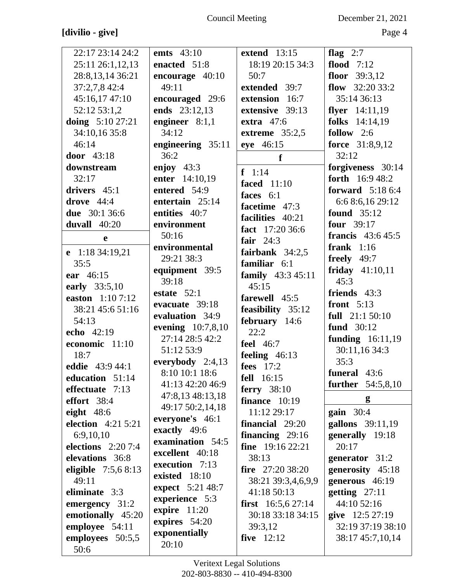## **[divilio - give]** Page 4

Council Meeting December 21, 2021

| 22:17 23:14 24:2     | <b>emts</b> 43:10      | extend $13:15$             | flag $2:7$                |
|----------------------|------------------------|----------------------------|---------------------------|
| 25:11 26:1,12,13     | enacted 51:8           | 18:19 20:15 34:3           | flood $7:12$              |
| 28:8,13,14 36:21     | encourage 40:10        | 50:7                       | floor $39:3,12$           |
| 37:2,7,8 42:4        | 49:11                  | extended 39:7              | flow $32:2033:2$          |
| 45:16,17 47:10       | encouraged 29:6        | extension 16:7             | 35:14 36:13               |
| 52:12 53:1,2         | ends 23:12,13          | extensive 39:13            | flyer $14:11,19$          |
| doing 5:10 27:21     | engineer $8:1,1$       | extra $47:6$               | folks 14:14,19            |
| 34:10,16 35:8        | 34:12                  | extreme $35:2,5$           | follow $2:6$              |
| 46:14                | engineering 35:11      | eye 46:15                  | force 31:8,9,12           |
| door 43:18           | 36:2                   | f                          | 32:12                     |
| downstream           | enjoy $43:3$           |                            | forgiveness 30:14         |
| 32:17                | enter 14:10,19         | $f \quad 1:14$             | <b>forth</b> $16:948:2$   |
| drivers $45:1$       | entered 54:9           | <b>faced</b> 11:10         | <b>forward</b> $5:186:4$  |
| drove $44:4$         | entertain 25:14        | faces 6:1                  | 6:6 8:6,16 29:12          |
| due 30:1 36:6        | entities 40:7          | facetime 47:3              | <b>found</b> 35:12        |
| duvall 40:20         | environment            | facilities 40:21           | <b>four</b> 39:17         |
|                      | 50:16                  | fact 17:20 36:6            | <b>francis</b> $43:645:5$ |
| $\mathbf e$          | environmental          | fair $24:3$                | frank $1:16$              |
| e 1:18 34:19,21      | 29:21 38:3             | fairbank $34:2,5$          |                           |
| 35:5                 |                        | familiar 6:1               | freely $49:7$             |
| ear 46:15            | equipment 39:5         | family 43:3 45:11          | friday $41:10,11$         |
| early 33:5,10        | 39:18                  | 45:15                      | 45:3                      |
| easton 1:10 7:12     | estate $52:1$          | farewell 45:5              | friends 43:3              |
| 38:21 45:6 51:16     | evacuate 39:18         | feasibility 35:12          | front $5:13$              |
| 54:13                | evaluation 34:9        | february 14:6              | full $21:150:10$          |
| echo 42:19           | evening 10:7,8,10      | 22:2                       | fund 30:12                |
| economic 11:10       | 27:14 28:5 42:2        | <b>feel</b> 46:7           | funding 16:11,19          |
| 18:7                 | 51:12 53:9             | feeling $46:13$            | 30:11,16 34:3             |
| eddie 43:9 44:1      | everybody 2:4,13       | fees 17:2                  | 35:3                      |
| education 51:14      | 8:10 10:1 18:6         | <b>fell</b> 16:15          | funeral 43:6              |
| effectuate 7:13      | 41:13 42:20 46:9       | ferry $38:10$              | <b>further</b> 54:5,8,10  |
| effort 38:4          | 47:8,13 48:13,18       | finance $10:19$            | g                         |
| eight $48:6$         | 49:17 50:2,14,18       | 11:12 29:17                | $gain$ 30:4               |
| election 4:21 5:21   | everyone's 46:1        | financial 29:20            | gallons 39:11,19          |
| 6:9,10,10            | exactly 49:6           | financing $29:16$          | generally 19:18           |
| elections $2:207:4$  | examination 54:5       | fine $19:162:21$           | 20:17                     |
| elevations 36:8      | excellent 40:18        | 38:13                      | generator 31:2            |
| eligible $7:5,68:13$ | execution 7:13         | fire $27:2038:20$          | generosity 45:18          |
| 49:11                | existed 18:10          | 38:21 39:3,4,6,9,9         | generous 46:19            |
| eliminate 3:3        | expect 5:21 48:7       | 41:18 50:13                | getting $27:11$           |
| emergency 31:2       | experience 5:3         | <b>first</b> $16:5,627:14$ | 44:10 52:16               |
| emotionally 45:20    | expire 11:20           | 30:18 33:18 34:15          | give 12:5 27:19           |
| employee 54:11       | expires 54:20          | 39:3,12                    | 32:19 37:19 38:10         |
| employees 50:5,5     | exponentially<br>20:10 | <b>five</b> 12:12          | 38:17 45:7,10,14          |
|                      |                        |                            |                           |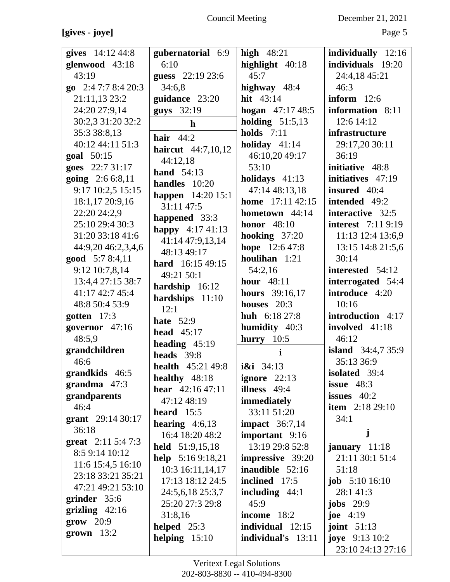## **[gives - joye]** Page 5

Council Meeting December 21, 2021

| gives 14:12 44:8              |                             | high $48:21$            |                            |
|-------------------------------|-----------------------------|-------------------------|----------------------------|
|                               | gubernatorial 6:9           |                         | individually 12:16         |
| glenwood 43:18                | 6:10                        | highlight 40:18         | individuals 19:20          |
| 43:19                         | guess 22:19 23:6            | 45:7                    | 24:4,18 45:21              |
| go $2:47:78:420:3$            | 34:6,8                      | highway 48:4            | 46:3                       |
| 21:11,13 23:2                 | guidance 23:20              | <b>hit</b> $43:14$      | inform $12:6$              |
| 24:20 27:9,14                 | guys 32:19                  | hogan $47:1748:5$       | information 8:11           |
| 30:2,3 31:20 32:2             | $\mathbf{h}$                | holding $51:5,13$       | 12:6 14:12                 |
| 35:3 38:8,13                  | hair $44:2$                 | holds $7:11$            | infrastructure             |
| 40:12 44:11 51:3              | <b>haircut</b> 44:7,10,12   | holiday $41:14$         | 29:17,20 30:11             |
| goal 50:15                    | 44:12,18                    | 46:10,20 49:17          | 36:19                      |
| goes 22:7 31:17               | hand $54:13$                | 53:10                   | initiative 48:8            |
| going 2:6 6:8,11              | handles $10:20$             | holidays $41:13$        | initiatives 47:19          |
| 9:17 10:2,5 15:15             | happen $14:2015:1$          | 47:14 48:13,18          | insured $40:4$             |
| 18:1,17 20:9,16               | 31:11 47:5                  | home 17:11 42:15        | intended 49:2              |
| 22:20 24:2,9                  |                             | hometown $44:14$        | interactive 32:5           |
| 25:10 29:4 30:3               | happened 33:3               | honor $48:10$           | <b>interest</b> 7:11 9:19  |
| 31:20 33:18 41:6              | happy 4:17 41:13            | hooking $37:20$         | 11:13 12:4 13:6,9          |
| 44:9,20 46:2,3,4,6            | 41:14 47:9,13,14            | <b>hope</b> 12:6 47:8   | 13:15 14:8 21:5,6          |
| good 5:7 8:4,11               | 48:13 49:17                 | houlihan $1:21$         | 30:14                      |
| 9:12 10:7,8,14                | hard 16:15 49:15            | 54:2,16                 | interested 54:12           |
| 13:4,4 27:15 38:7             | 49:21 50:1                  | <b>hour</b> 48:11       | interrogated 54:4          |
| 41:17 42:7 45:4               | hardship $16:12$            | <b>hours</b> 39:16,17   | introduce 4:20             |
| 48:8 50:4 53:9                | hardships 11:10             | houses 20:3             | 10:16                      |
| gotten $17:3$                 | 12:1                        | <b>huh</b> $6:1827:8$   | introduction 4:17          |
| governor 47:16                | <b>hate</b> 52:9            | humidity 40:3           | involved 41:18             |
| 48:5,9                        | head $45:17$                | hurry $10:5$            | 46:12                      |
| grandchildren                 | heading $45:19$             | $\mathbf{i}$            | <b>island</b> $34:4,735:9$ |
| 46:6                          | heads 39:8                  |                         | 35:13 36:9                 |
| grandkids 46:5                | <b>health</b> $45:21\,49:8$ | $i\xi i \quad 34:13$    | isolated 39:4              |
| grandma $47:3$                | healthy 48:18               | <b>ignore</b> $22:13$   | issue $48:3$               |
| grandparents                  | hear $42:1647:11$           | illness $49:4$          | issues $40:2$              |
| 46:4                          | 47:12 48:19                 | immediately             | <b>item</b> $2:1829:10$    |
| grant $29:1430:17$            | heard $15:5$                | 33:11 51:20             | 34:1                       |
| 36:18                         | hearing $4:6,13$            | <b>impact</b> $36:7,14$ |                            |
| <b>great</b> $2:11\,5:4\,7:3$ | 16:4 18:20 48:2             | important 9:16          | j                          |
| 8:5 9:14 10:12                | held $51:9,15,18$           | 13:19 29:8 52:8         | january $11:18$            |
| 11:6 15:4,5 16:10             | help $5:169:18,21$          | <b>impressive</b> 39:20 | 21:11 30:1 51:4            |
| 23:18 33:21 35:21             | 10:3 16:11,14,17            | inaudible $52:16$       | 51:18                      |
| 47:21 49:21 53:10             | 17:13 18:12 24:5            | inclined 17:5           | <b>job</b> $5:1016:10$     |
|                               | 24:5,6,18 25:3,7            | including $44:1$        | 28:141:3                   |
| grinder 35:6                  | 25:20 27:3 29:8             | 45:9                    | jobs $29:9$                |
| grizling $42:16$              | 31:8,16                     | income $18:2$           | joe $4:19$                 |
| $\textbf{grow} \quad 20:9$    | helped $25:3$               | individual 12:15        | joint $51:13$              |
| $grown 13:2$                  | helping $15:10$             | individual's 13:11      | <b>joye</b> 9:13 10:2      |
|                               |                             |                         | 23:10 24:13 27:16          |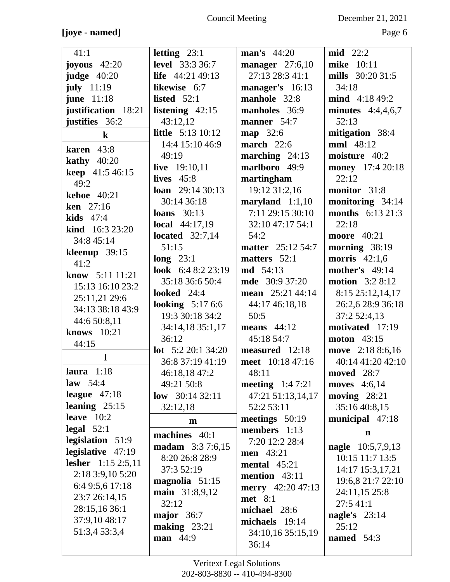## **[joye - named]** Page 6

Council Meeting December 21, 2021

| 41:1                   | letting $23:1$                     | <b>man's</b> 44:20       | $mid$ 22:2                           |
|------------------------|------------------------------------|--------------------------|--------------------------------------|
| joyous $42:20$         | <b>level</b> 33:3 36:7             | manager $27:6,10$        | mike 10:11                           |
| judge $40:20$          | <b>life</b> $44:2149:13$           | 27:13 28:3 41:1          | mills 30:20 31:5                     |
| july $11:19$           | likewise 6:7                       | manager's 16:13          | 34:18                                |
| <b>june</b> 11:18      | listed $52:1$                      | manhole 32:8             | mind 4:18 49:2                       |
| justification 18:21    | listening $42:15$                  | manholes 36:9            | minutes $4:4,4,6,7$                  |
| justifies 36:2         | 43:12,12                           | manner 54:7              | 52:13                                |
| $\bf k$                | <b>little</b> 5:13 10:12           | <b>map</b> 32:6          | mitigation 38:4                      |
| karen $43:8$           | 14:4 15:10 46:9                    | march $22:6$             | <b>mml</b> 48:12                     |
|                        | 49:19                              | marching $24:13$         | moisture 40:2                        |
| kathy $40:20$          | live 19:10,11                      | marlboro 49:9            | money 17:4 20:18                     |
| <b>keep</b> 41:5 46:15 | lives $45:8$                       | martingham               | 22:12                                |
| 49:2                   | <b>loan</b> $29:1430:13$           | 19:12 31:2,16            | monitor 31:8                         |
| <b>kehoe</b> 40:21     | 30:14 36:18                        | maryland $1:1,10$        | monitoring 34:14                     |
| <b>ken</b> $27:16$     | loans $30:13$                      | 7:11 29:15 30:10         | <b>months</b> $6:13\ 21:3$           |
| <b>kids</b> $47:4$     | <b>local</b> $44:17,19$            | 32:10 47:17 54:1         | 22:18                                |
| kind 16:3 23:20        | located $32:7,14$                  | 54:2                     | <b>moore</b> 40:21                   |
| 34:8 45:14             | 51:15                              | <b>matter</b> 25:12 54:7 | morning 38:19                        |
| kleenup $39:15$        | long $23:1$                        | matters 52:1             | morris $42:1,6$                      |
| 41:2                   | look 6:4 8:2 23:19                 | <b>md</b> 54:13          | <b>mother's</b> 49:14                |
| know 5:11 11:21        | 35:18 36:6 50:4                    | <b>mde</b> 30:9 37:20    | <b>motion</b> 3:2 8:12               |
| 15:13 16:10 23:2       | <b>looked</b> 24:4                 | mean 25:21 44:14         | 8:15 25:12,14,17                     |
| 25:11,21 29:6          | looking $5:176:6$                  | 44:17 46:18,18           | 26:2,6 28:9 36:18                    |
| 34:13 38:18 43:9       | 19:3 30:18 34:2                    | 50:5                     | 37:2 52:4,13                         |
| 44:6 50:8,11           | 34:14,18 35:1,17                   | means $44:12$            | motivated 17:19                      |
| knows 10:21            | 36:12                              | 45:18 54:7               | <b>moton</b> 43:15                   |
| 44:15                  | <b>lot</b> $5:220:134:20$          | measured $12:18$         | move 2:18 8:6,16                     |
| 1                      | 36:8 37:19 41:19                   | meet 10:18 47:16         | 40:14 41:20 42:10                    |
| laura $1:18$           | 46:18,18 47:2                      | 48:11                    | moved 28:7                           |
| law $54:4$             | 49:21 50:8                         | meeting $1:47:21$        | moves $4:6,14$                       |
| league $47:18$         | low $30:1432:11$                   | 47:21 51:13,14,17        | moving $28:21$                       |
| leaning $25:15$        | 32:12,18                           | 52:2 53:11               | 35:16 40:8,15                        |
| leave $10:2$           | m                                  | meetings $50:19$         | municipal 47:18                      |
| $\text{legal } 52:1$   |                                    | members $1:13$           | $\mathbf n$                          |
| legislation 51:9       | machines 40:1                      | 7:20 12:2 28:4           |                                      |
| legislative 47:19      | madam 3:3 7:6,15<br>8:20 26:8 28:9 | <b>men</b> 43:21         | nagle 10:5,7,9,13<br>10:15 11:7 13:5 |
| lesher 1:15 2:5,11     |                                    | mental $45:21$           |                                      |
| 2:18 3:9,10 5:20       | 37:3 52:19                         | mention $43:11$          | 14:17 15:3,17,21                     |
| 6:4 9:5,6 17:18        | magnolia $51:15$                   | <b>merry</b> 42:20 47:13 | 19:6,8 21:7 22:10                    |
| 23:7 26:14,15          | main 31:8,9,12<br>32:12            | met 8:1                  | 24:11,15 25:8<br>27:5 41:1           |
| 28:15,16 36:1          |                                    | michael 28:6             |                                      |
| 37:9,10 48:17          | major $36:7$                       | michaels 19:14           | nagle's $23:14$<br>25:12             |
| 51:3,4 53:3,4          | making $23:21$<br>man 44:9         | 34:10,16 35:15,19        | named 54:3                           |
|                        |                                    | 36:14                    |                                      |
|                        |                                    |                          |                                      |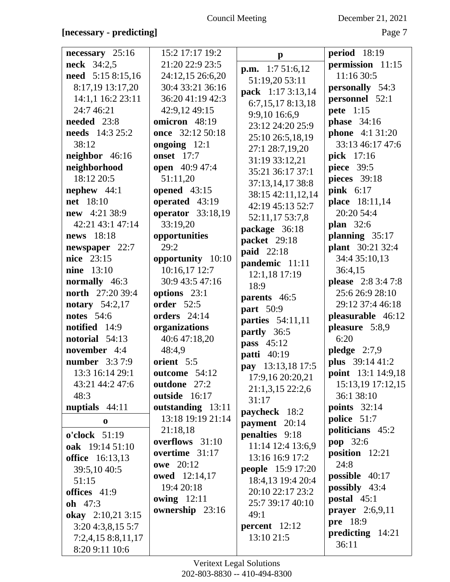## Council Meeting December 21, 2021

| $necessary$ 25:16       | 15:2 17:17 19:2          | $\mathbf{p}$             | <b>period</b> 18:19       |
|-------------------------|--------------------------|--------------------------|---------------------------|
| <b>neck</b> 34:2,5      | 21:20 22:9 23:5          | <b>p.m.</b> $1:751:6,12$ | permission 11:15          |
| need 5:15 8:15,16       | 24:12,15 26:6,20         | 51:19,20 53:11           | 11:16 30:5                |
| 8:17,19 13:17,20        | 30:4 33:21 36:16         |                          | personally 54:3           |
| 14:1,1 16:2 23:11       | 36:20 41:19 42:3         | pack 1:17 3:13,14        | personnel 52:1            |
| 24:7 46:21              | 42:9,12 49:15            | 6:7,15,178:13,18         | pete 1:15                 |
| needed 23:8             | omicron 48:19            | 9:9,10 16:6,9            | <b>phase</b> 34:16        |
| <b>needs</b> 14:3 25:2  | once 32:12 50:18         | 23:12 24:20 25:9         |                           |
|                         |                          | 25:10 26:5,18,19         | <b>phone</b> 4:1 31:20    |
| 38:12                   | ongoing $12:1$           | 27:1 28:7,19,20          | 33:13 46:17 47:6          |
| neighbor 46:16          | <b>onset</b> 17:7        | 31:19 33:12,21           | pick 17:16                |
| neighborhood            | <b>open</b> 40:9 47:4    | 35:21 36:17 37:1         | <b>piece</b> 39:5         |
| 18:12 20:5              | 51:11,20                 | 37:13,14,17 38:8         | pieces 39:18              |
| nephew $44:1$           | opened 43:15             | 38:15 42:11,12,14        | pink 6:17                 |
| net 18:10               | operated 43:19           | 42:19 45:13 52:7         | place 18:11,14            |
| new 4:21 38:9           | <b>operator</b> 33:18,19 | 52:11,17 53:7,8          | 20:20 54:4                |
| 42:21 43:1 47:14        | 33:19,20                 | package 36:18            | <b>plan</b> 32:6          |
| news 18:18              | opportunities            | packet 29:18             | planning $35:17$          |
| newspaper 22:7          | 29:2                     | <b>paid</b> 22:18        | <b>plant</b> 30:21 32:4   |
| nice 23:15              | opportunity 10:10        |                          | 34:4 35:10,13             |
| <b>nine</b> 13:10       | 10:16,17 12:7            | pandemic 11:11           | 36:4,15                   |
| normally 46:3           | 30:9 43:5 47:16          | 12:1,18 17:19            | <b>please</b> 2:8 3:4 7:8 |
| <b>north</b> 27:20 39:4 | options 23:1             | 18:9                     | 25:6 26:9 28:10           |
| notary 54:2,17          | <b>order</b> 52:5        | parents 46:5             | 29:12 37:4 46:18          |
| <b>notes</b> 54:6       | orders $24:14$           | part 50:9                |                           |
|                         |                          | parties 54:11,11         | pleasurable 46:12         |
| notified 14:9           | organizations            | partly 36:5              | pleasure 5:8,9            |
| notorial 54:13          | 40:6 47:18,20            | <b>pass</b> 45:12        | 6:20                      |
| november 4:4            | 48:4,9                   | <b>patti</b> 40:19       | pledge $2:7,9$            |
| <b>number</b> 3:3 7:9   | orient 5:5               | pay 13:13,18 17:5        | plus 39:14 41:2           |
| 13:3 16:14 29:1         | outcome 54:12            | 17:9,16 20:20,21         | <b>point</b> 13:1 14:9,18 |
| 43:21 44:2 47:6         | outdone 27:2             | 21:1,3,15 22:2,6         | 15:13,19 17:12,15         |
| 48:3                    | outside 16:17            | 31:17                    | 36:1 38:10                |
| nuptials $44:11$        | outstanding 13:11        | paycheck 18:2            | <b>points</b> 32:14       |
| $\bf{0}$                | 13:18 19:19 21:14        | payment 20:14            | police 51:7               |
| o'clock 51:19           | 21:18,18                 | <b>penalties</b> 9:18    | politicians 45:2          |
| oak 19:14 51:10         | overflows 31:10          | 11:14 12:4 13:6,9        | pop 32:6                  |
|                         | overtime 31:17           | 13:16 16:9 17:2          | position $12:21$          |
| <b>office</b> 16:13,13  | <b>owe</b> 20:12         |                          | 24:8                      |
| 39:5,10 40:5            | <b>owed</b> 12:14,17     | <b>people</b> 15:9 17:20 | possible $40:17$          |
| 51:15                   | 19:4 20:18               | 18:4,13 19:4 20:4        | <b>possibly</b> 43:4      |
| offices 41:9            | <b>owing</b> 12:11       | 20:10 22:17 23:2         | postal 45:1               |
| <b>oh</b> $47:3$        | ownership 23:16          | 25:7 39:17 40:10         | <b>prayer</b> $2:6,9,11$  |
| okay 2:10,21 3:15       |                          | 49:1                     | pre 18:9                  |
| 3:204:3,8,155:7         |                          | $percent$ 12:12          |                           |
| 7:2,4,15 8:8,11,17      |                          | 13:10 21:5               | predicting 14:21          |
| 8:20 9:11 10:6          |                          |                          | 36:11                     |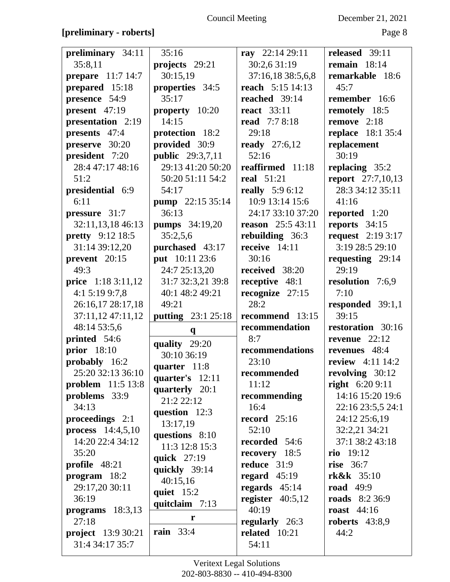### Council Meeting December 21, 2021

### **[preliminary - roberts]** Page 8

| preliminary 34:11         | 35:16                     | ray 22:14 29:11         | released 39:11           |
|---------------------------|---------------------------|-------------------------|--------------------------|
| 35:8,11                   | projects 29:21            | 30:2,6 31:19            | remain $18:14$           |
| prepare 11:7 14:7         | 30:15,19                  | 37:16,18 38:5,6,8       | remarkable 18:6          |
| prepared 15:18            | properties 34:5           | reach 5:15 14:13        | 45:7                     |
| presence 54:9             | 35:17                     | reached 39:14           | remember 16:6            |
| present $47:19$           | property 10:20            | <b>react</b> 33:11      | remotely 18:5            |
| presentation 2:19         | 14:15                     | <b>read</b> 7:7 8:18    | remove $2:18$            |
| presents 47:4             | protection 18:2           | 29:18                   | <b>replace</b> 18:1 35:4 |
| preserve 30:20            | provided 30:9             | <b>ready</b> 27:6,12    | replacement              |
| president 7:20            | <b>public</b> 29:3,7,11   | 52:16                   | 30:19                    |
| 28:4 47:17 48:16          | 29:13 41:20 50:20         | reaffirmed 11:18        | replacing 35:2           |
| 51:2                      | 50:20 51:11 54:2          | <b>real</b> 51:21       | <b>report</b> 27:7,10,13 |
| presidential 6:9          | 54:17                     | <b>really</b> $5:96:12$ | 28:3 34:12 35:11         |
| 6:11                      | pump 22:15 35:14          | 10:9 13:14 15:6         | 41:16                    |
| pressure 31:7             | 36:13                     | 24:17 33:10 37:20       | reported 1:20            |
| 32:11,13,18 46:13         | <b>pumps</b> 34:19,20     | reason 25:5 43:11       | reports $34:15$          |
| <b>pretty</b> 9:12 18:5   | 35:2,5,6                  | rebuilding 36:3         | <b>request</b> 2:19 3:17 |
| 31:14 39:12,20            | purchased 43:17           | receive $14:11$         | 3:19 28:5 29:10          |
| prevent 20:15             | put 10:11 23:6            | 30:16                   | requesting 29:14         |
| 49:3                      | 24:7 25:13,20             | received 38:20          | 29:19                    |
| price 1:18 3:11,12        | 31:7 32:3,21 39:8         | receptive 48:1          | resolution 7:6,9         |
| 4:1 5:19 9:7,8            | 40:1 48:2 49:21           | recognize $27:15$       | 7:10                     |
| 26:16,17 28:17,18         | 49:21                     | 28:2                    | responded $39:1,1$       |
|                           |                           |                         |                          |
| 37:11,12 47:11,12         | <b>putting</b> 23:1 25:18 | recommend 13:15         | 39:15                    |
| 48:14 53:5,6              |                           | recommendation          | restoration 30:16        |
| printed 54:6              | $\mathbf{q}$              | 8:7                     | revenue $22:12$          |
| <b>prior</b> 18:10        | quality 29:20             | recommendations         | revenues 48:4            |
| probably 16:2             | 30:10 36:19               | 23:10                   | <b>review</b> 4:11 14:2  |
| 25:20 32:13 36:10         | quarter 11:8              | recommended             | revolving 30:12          |
| <b>problem</b> 11:5 13:8  | quarter's $12:11$         | 11:12                   | <b>right</b> $6:209:11$  |
| problems 33:9             | quarterly 20:1            | recommending            | 14:16 15:20 19:6         |
| 34:13                     | 21:2 22:12                | 16:4                    | 22:16 23:5,5 24:1        |
| proceedings $2:1$         | question 12:3             | <b>record</b> 25:16     | 24:12 25:6,19            |
| process $14:4,5,10$       | 13:17,19                  | 52:10                   | 32:2,21 34:21            |
| 14:20 22:4 34:12          | questions 8:10            | recorded 54:6           | 37:1 38:2 43:18          |
| 35:20                     | 11:3 12:8 15:3            | recovery 18:5           | rio 19:12                |
| <b>profile</b> $48:21$    | quick 27:19               | reduce $31:9$           | <b>rise</b> 36:7         |
| $program \quad 18:2$      | quickly 39:14             | regard $45:19$          | rk&k 35:10               |
| 29:17,20 30:11            | 40:15,16                  | regards $45:14$         | <b>road</b> 49:9         |
| 36:19                     | quiet 15:2                | register $40:5,12$      | <b>roads</b> 8:2 36:9    |
| programs $18:3,13$        | quitclaim 7:13            | 40:19                   | <b>roast</b> 44:16       |
| 27:18                     | r                         | regularly 26:3          | roberts $43:8,9$         |
| <b>project</b> 13:9 30:21 | <b>rain</b> 33:4          | related $10:21$         | 44:2                     |
| 31:4 34:17 35:7           |                           | 54:11                   |                          |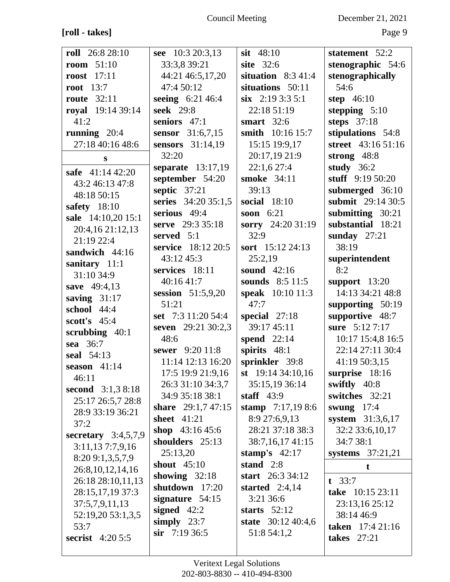**[roll - takes]** Page 9

Council Meeting December 21, 2021

| roll 26:8 28:10       | see 10:3 20:3,13          | sit $48:10$             | statement 52:2          |
|-----------------------|---------------------------|-------------------------|-------------------------|
| room $51:10$          | 33:3,8 39:21              | site 32:6               | stenographic 54:6       |
| <b>roost</b> 17:11    | 44:21 46:5,17,20          | situation $8:341:4$     | stenographically        |
| <b>root</b> 13:7      | 47:4 50:12                | situations 50:11        | 54:6                    |
| <b>route</b> 32:11    | seeing 6:21 46:4          | $\sin$ 2:19 3:3 5:1     | step 46:10              |
| royal 19:14 39:14     | seek 29:8                 | 22:18 51:19             | stepping $5:10$         |
| 41:2                  | seniors 47:1              | smart $32:6$            | steps $37:18$           |
| running $20:4$        | sensor 31:6,7,15          | smith 10:16 15:7        | stipulations 54:8       |
| 27:18 40:16 48:6      | sensors 31:14,19          | 15:15 19:9,17           | street 43:16 51:16      |
| S                     | 32:20                     | 20:17,19 21:9           | strong $48:8$           |
| safe 41:14 42:20      | separate 13:17,19         | 22:1,627:4              | study $36:2$            |
| 43:2 46:13 47:8       | september 54:20           | smoke 34:11             | stuff $9:1950:20$       |
| 48:18 50:15           | septic $37:21$            | 39:13                   | submerged 36:10         |
| safety $18:10$        | series 34:20 35:1,5       | social 18:10            | submit 29:14 30:5       |
| sale 14:10,20 15:1    | serious 49:4              | soon $6:21$             | submitting 30:21        |
| 20:4,16 21:12,13      | serve 29:3 35:18          | sorry 24:20 31:19       | substantial 18:21       |
| 21:19 22:4            | served 5:1                | 32:9                    | sunday $27:21$          |
| sandwich 44:16        | service 18:12 20:5        | sort $15:12\,24:13$     | 38:19                   |
| sanitary 11:1         | 43:12 45:3                | 25:2,19                 | superintendent          |
| 31:10 34:9            | services 18:11            | sound $42:16$           | 8:2                     |
| save 49:4,13          | 40:16 41:7                | sounds 8:5 11:5         | support $13:20$         |
| saving $31:17$        | session $51:5,9,20$       | <b>speak</b> 10:10 11:3 | 14:13 34:21 48:8        |
| school 44:4           | 51:21                     | 47:7                    | supporting 50:19        |
| scott's $45:4$        | set 7:3 11:20 54:4        | special $27:18$         | supportive 48:7         |
| scrubbing $40:1$      | <b>seven</b> 29:21 30:2,3 | 39:17 45:11             | sure 5:12 7:17          |
| sea 36:7              | 48:6                      | spend 22:14             | 10:17 15:4,8 16:5       |
| seal 54:13            | sewer 9:20 11:8           | spirits 48:1            | 22:14 27:11 30:4        |
| season $41:14$        | 11:14 12:13 16:20         | sprinkler 39:8          | 41:19 50:3,15           |
| 46:11                 | 17:5 19:9 21:9,16         | st $19:1434:10,16$      | surprise $18:16$        |
| second 3:1,3 8:18     | 26:3 31:10 34:3,7         | 35:15,19 36:14          | swiftly 40:8            |
| 25:17 26:5,7 28:8     | 34:9 35:18 38:1           | staff $43:9$            | switches 32:21          |
| 28:9 33:19 36:21      | share $29:1,747:15$       | stamp $7:17,198:6$      | swung $17:4$            |
| 37:2                  | sheet $41:21$             | 8:9 27:6,9,13           | system 31:3,6,17        |
| secretary $3:4,5,7,9$ | shop $43:1645:6$          | 28:21 37:18 38:3        | 32:2 33:6, 10, 17       |
| 3:11,137:7,9,16       | shoulders 25:13           | 38:7,16,17 41:15        | 34:7 38:1               |
| 8:209:1,3,5,7,9       | 25:13,20                  | stamp's $42:17$         | systems $37:21,21$      |
| 26:8, 10, 12, 14, 16  | shout 45:10               | stand $2:8$             | $\mathbf t$             |
| 26:18 28:10,11,13     | showing $32:18$           | start $26:334:12$       | $t \quad 33:7$          |
| 28:15,17,19 37:3      | shutdown 17:20            | started $2:4,14$        | take 10:15 23:11        |
| 37:5,7,9,11,13        | signature $54:15$         | 3:21 36:6               | 23:13,16 25:12          |
| 52:19,20 53:1,3,5     | signed $42:2$             | starts $52:12$          | 38:14 46:9              |
| 53:7                  | simply $23:7$             | state $30:12\,40:4,6$   | <b>taken</b> 17:4 21:16 |
| secrist $4:205:5$     | $\sin$ 7:19 36:5          | 51:8 54:1,2             | <b>takes</b> 27:21      |
|                       |                           |                         |                         |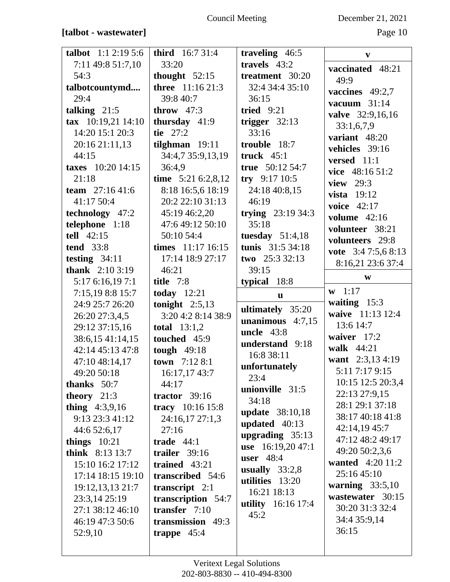### **[talbot - wastewater]** Page 10

| <b>talbot</b> $1:1 2:19 5:6$             | <b>third</b> 16:7 31:4                 | traveling 46:5            | $\mathbf{v}$                       |
|------------------------------------------|----------------------------------------|---------------------------|------------------------------------|
| 7:11 49:8 51:7,10                        | 33:20                                  | travels $43:2$            | vaccinated 48:21                   |
| 54:3                                     | thought $52:15$                        | treatment 30:20           | 49:9                               |
| talbotcountymd                           | three 11:16 21:3                       | 32:4 34:4 35:10           | vaccines $49:2,7$                  |
| 29:4                                     | 39:8 40:7                              | 36:15                     | vacuum $31:14$                     |
| talking $21:5$                           | throw $47:3$                           | tried $9:21$              | valve 32:9,16,16                   |
| $\textbf{tax}$ 10:19,21 14:10            | thursday 41:9                          | trigger $32:13$           | 33:1,6,7,9                         |
| 14:20 15:1 20:3                          | tie $27:2$                             | 33:16                     | variant 48:20                      |
| 20:16 21:11,13                           | tilghman $19:11$                       | trouble 18:7              | vehicles 39:16                     |
| 44:15                                    | 34:4,7 35:9,13,19                      | truck $45:1$              | versed 11:1                        |
| taxes 10:20 14:15                        | 36:4,9                                 | true $50:12\,54:7$        | vice 48:16 51:2                    |
| 21:18                                    | time 5:21 6:2,8,12                     | try $9:1710:5$            | view $29:3$                        |
| team $27:1641:6$                         | 8:18 16:5,6 18:19                      | 24:18 40:8,15             | vista $19:12$                      |
| 41:17 50:4                               | 20:2 22:10 31:13                       | 46:19                     | voice $42:17$                      |
| technology 47:2                          | 45:19 46:2,20                          | trying $23:1934:3$        | volume $42:16$                     |
| telephone 1:18                           | 47:6 49:12 50:10                       | 35:18                     | volunteer 38:21                    |
| tell $42:15$                             | 50:10 54:4                             | tuesday $51:4,18$         | volunteers 29:8                    |
| <b>tend</b> 33:8                         | times 11:17 16:15                      | tunis 31:5 34:18          | vote $3:47:5,68:13$                |
| testing $34:11$                          | 17:14 18:9 27:17                       | two $25:332:13$           | 8:16,21 23:6 37:4                  |
| <b>thank</b> $2:103:19$                  | 46:21                                  | 39:15                     | W                                  |
| 5:17 6:16,19 7:1                         | title 7:8                              | typical 18:8              | $\mathbf{w}$ 1:17                  |
| 7:15,19 8:8 15:7                         | today $12:21$                          | $\mathbf{u}$              | waiting $15:3$                     |
| 24:9 25:7 26:20<br>26:20 27:3,4,5        | tonight $2:5,13$<br>3:20 4:2 8:14 38:9 | ultimately 35:20          | waive 11:13 12:4                   |
|                                          |                                        |                           |                                    |
|                                          |                                        | unanimous $4:7,15$        |                                    |
| 29:12 37:15,16                           | total $13:1,2$                         | uncle $43:8$              | 13:6 14:7                          |
| 38:6,15 41:14,15                         | touched 45:9                           | understand 9:18           | waiver 17:2                        |
| 42:14 45:13 47:8                         | tough $49:18$                          | 16:8 38:11                | walk 44:21                         |
| 47:10 48:14,17                           | town 7:12 8:1                          | unfortunately             | want 2:3,13 4:19                   |
| 49:20 50:18                              | 16:17,17 43:7                          | 23:4                      | 5:11 7:17 9:15                     |
| thanks $50:7$                            | 44:17                                  | unionville 31:5           | 10:15 12:5 20:3,4<br>22:13 27:9,15 |
| theory $21:3$                            | tractor $39:16$                        | 34:18                     | 28:1 29:1 37:18                    |
| thing $4:3,9,16$                         | tracy 10:16 15:8                       | <b>update</b> 38:10,18    | 38:17 40:18 41:8                   |
| 9:13 23:3 41:12                          | 24:16,17 27:1,3                        | updated $40:13$           | 42:14,19 45:7                      |
| 44:6 52:6,17                             | 27:16                                  | upgrading $35:13$         | 47:12 48:2 49:17                   |
| things $10:21$<br><b>think</b> 8:13 13:7 | trade $44:1$<br>trailer $39:16$        | use 16:19,20 47:1         | 49:20 50:2,3,6                     |
| 15:10 16:2 17:12                         | trained $43:21$                        | user $48:4$               | wanted 4:20 11:2                   |
| 17:14 18:15 19:10                        | transcribed 54:6                       | usually $33:2,8$          | 25:16 45:10                        |
| 19:12,13,13 21:7                         | transcript $2:1$                       | utilities 13:20           | warning $33:5,10$                  |
| 23:3,14 25:19                            | transcription 54:7                     | 16:21 18:13               | wastewater 30:15                   |
| 27:1 38:12 46:10                         | transfer $7:10$                        | <b>utility</b> 16:16 17:4 | 30:20 31:3 32:4                    |
| 46:19 47:3 50:6                          | transmission 49:3                      | 45:2                      | 34:4 35:9,14                       |
| 52:9,10                                  | trappe $45:4$                          |                           | 36:15                              |
|                                          |                                        |                           |                                    |